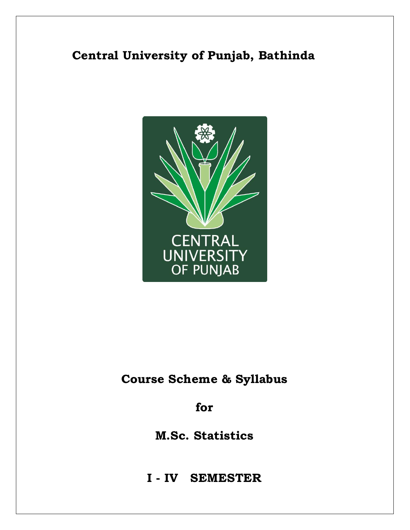# **Central University of Punjab, Bathinda**



# **Course Scheme & Syllabus**

**for**

**M.Sc. Statistics**

**<sup>I</sup> - IV SEMESTER**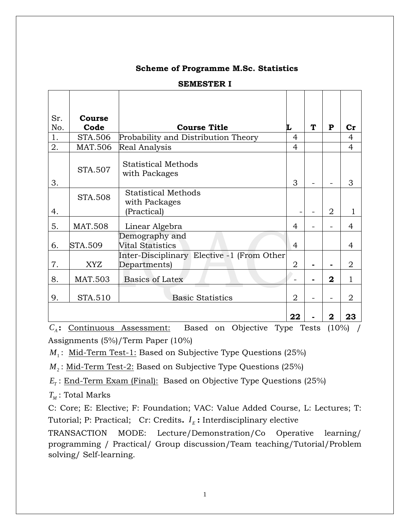### **Scheme of Programme M.Sc. Statistics**

| Sr. | Course         |                                                            |                |   |                |                |
|-----|----------------|------------------------------------------------------------|----------------|---|----------------|----------------|
| No. | Code           | <b>Course Title</b>                                        | L              | ፐ | P              | $\mathbf{Cr}$  |
| 1.  | STA.506        | Probability and Distribution Theory                        | 4              |   |                | 4              |
| 2.  | <b>MAT.506</b> | Real Analysis                                              | $\overline{4}$ |   |                | 4              |
| 3.  | STA.507        | <b>Statistical Methods</b><br>with Packages                | 3              |   |                | 3              |
| 4.  | <b>STA.508</b> | <b>Statistical Methods</b><br>with Packages<br>(Practical) |                |   | $\overline{2}$ |                |
| 5.  | <b>MAT.508</b> | Linear Algebra                                             | 4              |   |                | 4              |
| 6.  | <b>STA.509</b> | Demography and<br><b>Vital Statistics</b>                  | 4              |   |                | 4              |
| 7.  | <b>XYZ</b>     | Inter-Disciplinary Elective -1 (From Other<br>Departments) | $\overline{2}$ |   | $\blacksquare$ | $\overline{2}$ |
| 8.  | <b>MAT.503</b> | Basics of Latex                                            |                |   | $\mathbf{2}$   | 1              |
| 9.  | STA.510        | <b>Basic Statistics</b>                                    | $\overline{2}$ |   |                | 2              |
|     |                |                                                            | 22             |   | $\mathbf 2$    | 23             |

### **SEMESTER I**

*C<sup>A</sup>* **:** Continuous Assessment: Based on Objective Type Tests (10%) / Assignments (5%)/Term Paper (10%)

*M*<sup>1</sup> : Mid-Term Test-1: Based on Subjective Type Questions (25%)

*M*<sup>2</sup> : Mid-Term Test-2: Based on Subjective Type Questions (25%)

 $E_{\tau}$ : End-Term Exam (Final): Based on Objective Type Questions (25%)

 $T_{\scriptscriptstyle M}$ : Total Marks

C: Core; E: Elective; F: Foundation; VAC: Value Added Course, L: Lectures; T: Tutorial; P: Practical; Cr: Credits.  $I<sub>E</sub>$ : Interdisciplinary elective

TRANSACTION MODE: Lecture/Demonstration/Co Operative learning/ programming / Practical/ Group discussion/Team teaching/Tutorial/Problem solving/ Self-learning.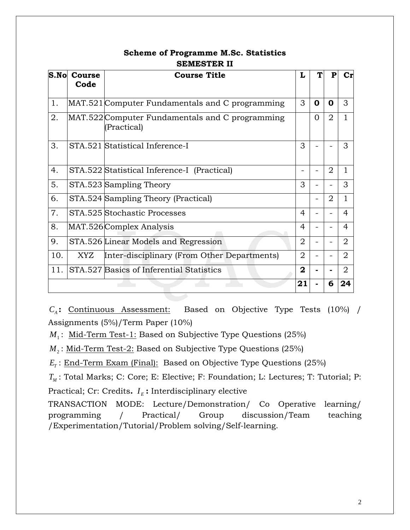| S.No<br>Course<br>Code |     | <b>Course Title</b>                                            |                |             | P              | $\mathbf{C}\mathbf{r}$ |
|------------------------|-----|----------------------------------------------------------------|----------------|-------------|----------------|------------------------|
|                        |     |                                                                |                |             |                |                        |
| 1.                     |     | MAT.521 Computer Fundamentals and C programming                | 3              | $\mathbf 0$ | 0              | 3                      |
| 2.                     |     | MAT.522 Computer Fundamentals and C programming<br>(Practical) |                |             |                |                        |
| 3.                     |     | STA.521 Statistical Inference-I                                | 3              |             |                | 3                      |
| 4.                     |     | STA.522 Statistical Inference-I (Practical)                    |                |             | $\overline{2}$ | 1                      |
| 5.                     |     | STA.523 Sampling Theory                                        | 3              |             |                | 3                      |
| 6.                     |     | STA.524 Sampling Theory (Practical)                            |                |             | $\overline{2}$ | 1                      |
| 7.                     |     | STA.525 Stochastic Processes                                   | 4              |             |                | $\overline{4}$         |
| 8.                     |     | MAT.526 Complex Analysis                                       | 4              |             |                | 4                      |
| 9.                     |     | STA.526 Linear Models and Regression                           | $\overline{2}$ |             |                | $\overline{2}$         |
| 10.                    | XYZ | Inter-disciplinary (From Other Departments)                    | $\overline{2}$ |             |                | $\overline{2}$         |
| 11.                    |     | STA.527 Basics of Inferential Statistics                       | $\mathbf{2}$   |             |                | 2                      |
|                        |     |                                                                | 21             |             | 6              | 24                     |

## **Scheme of Programme M.Sc. Statistics SEMESTER II**

*C<sub>A</sub>*: Continuous Assessment: Based on Objective Type Tests (10%) / Assignments (5%)/Term Paper (10%)

*M*<sup>1</sup> : Mid-Term Test-1: Based on Subjective Type Questions (25%)

*M*<sup>2</sup> : Mid-Term Test-2: Based on Subjective Type Questions (25%)

 $E_{\tau}$ : End-Term Exam (Final): Based on Objective Type Questions (25%)

*TM* : Total Marks; C: Core; E: Elective; F: Foundation; L: Lectures; T: Tutorial; P: Practical; Cr: Credits.  $I_{E}$ : Interdisciplinary elective

TRANSACTION MODE: Lecture/Demonstration/ Co Operative learning/ programming / Practical/ Group discussion/Team teaching /Experimentation/Tutorial/Problem solving/Self-learning.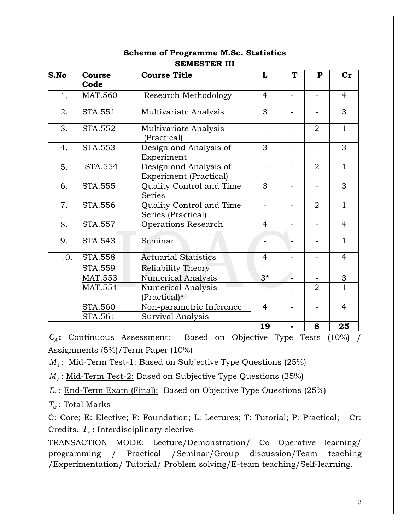| S.No | <b>Course</b>  | <b>Course Title</b>                                     | L                        | T | $\mathbf{P}$   | $cr$           |
|------|----------------|---------------------------------------------------------|--------------------------|---|----------------|----------------|
|      | Code           |                                                         |                          |   |                |                |
| 1.   | <b>MAT.560</b> | Research Methodology                                    | $\overline{4}$           |   |                | $\overline{4}$ |
| 2.   | STA.551        | Multivariate Analysis                                   | 3                        |   |                | 3              |
| 3.   | STA.552        | Multivariate Analysis<br>(Practical)                    | $\overline{\phantom{0}}$ |   | $\overline{2}$ | $\mathbf{1}$   |
| 4.   | <b>STA.553</b> | Design and Analysis of<br>Experiment                    | 3                        |   |                | 3              |
| 5.   | <b>STA.554</b> | Design and Analysis of<br><b>Experiment (Practical)</b> |                          |   | $\overline{2}$ | $\mathbf{1}$   |
| 6.   | <b>STA.555</b> | Quality Control and Time<br>Series                      | 3                        |   |                | 3              |
| 7.   | <b>STA.556</b> | Quality Control and Time<br>Series (Practical)          | $\overline{\phantom{0}}$ |   | $\overline{2}$ | $\mathbf{1}$   |
| 8.   | <b>STA.557</b> | <b>Operations Research</b>                              | 4                        |   |                | $\overline{4}$ |
| 9.   | STA.543        | Seminar                                                 | $\overline{\phantom{0}}$ |   |                | $\mathbf{1}$   |
| 10.  | <b>STA.558</b> | <b>Actuarial Statistics</b>                             | $\overline{4}$           |   |                | $\overline{4}$ |
|      | <b>STA.559</b> | <b>Reliability Theory</b>                               |                          |   |                |                |
|      | MAT.553        | <b>Numerical Analysis</b>                               | $3*$                     |   |                | 3              |
|      | MAT.554        | <b>Numerical Analysis</b><br>(Practical)*               |                          |   | $\overline{2}$ | 1              |
|      | <b>STA.560</b> | Non-parametric Inference                                | $\overline{4}$           |   |                | $\overline{4}$ |
|      | STA.561        | <b>Survival Analysis</b>                                |                          |   |                |                |
|      |                |                                                         | 19                       |   | 8              | 25             |

## **Scheme of Programme M.Sc. Statistics SEMESTER III**

 $C_A$ : Continuous Assessment: Based on Objective Type Tests (10%) / Assignments (5%)/Term Paper (10%)

*M*<sup>1</sup> : Mid-Term Test-1: Based on Subjective Type Questions (25%)

*M*<sup>2</sup> : Mid-Term Test-2: Based on Subjective Type Questions (25%)

 $E_{\tau}$ : <u>End-Term Exam (Final):</u> Based on Objective Type Questions (25%)

 $T_{\scriptscriptstyle M}$ : Total Marks

C: Core; E: Elective; F: Foundation; L: Lectures; T: Tutorial; P: Practical; Cr: Credits.  $I<sub>E</sub>$ : Interdisciplinary elective

TRANSACTION MODE: Lecture/Demonstration/ Co Operative learning/ programming / Practical /Seminar/Group discussion/Team teaching /Experimentation/ Tutorial/ Problem solving/E-team teaching/Self-learning.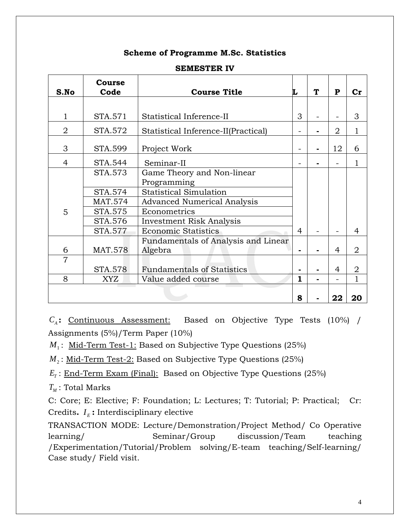### **Scheme of Programme M.Sc. Statistics**

|                | <b>Course</b>  |                                     |   | ፐ | $\mathbf{P}$   |                |
|----------------|----------------|-------------------------------------|---|---|----------------|----------------|
| S.No           | Code           | <b>Course Title</b>                 | L |   |                | Cr             |
|                |                |                                     |   |   |                |                |
| 1              | STA.571        | Statistical Inference-II            | 3 |   |                | 3              |
| $\overline{2}$ | STA.572        | Statistical Inference-II(Practical) |   |   | 2              | $\mathbf 1$    |
| 3              | STA.599        | Project Work                        |   |   | 12             | 6              |
| 4              | STA.544        | Seminar-II                          |   |   |                | 1              |
|                | STA.573        | Game Theory and Non-linear          |   |   |                |                |
|                |                | Programming                         |   |   |                |                |
|                | STA.574        | <b>Statistical Simulation</b>       |   |   |                |                |
|                | <b>MAT.574</b> | <b>Advanced Numerical Analysis</b>  |   |   |                |                |
| 5              | STA.575        | Econometrics                        |   |   |                |                |
|                | STA.576        | <b>Investment Risk Analysis</b>     |   |   |                |                |
|                | STA.577        | <b>Economic Statistics</b>          | 4 |   |                | 4              |
|                |                | Fundamentals of Analysis and Linear |   |   |                |                |
| 6              | <b>MAT.578</b> | Algebra                             |   |   | $\overline{4}$ | $\overline{2}$ |
| $\overline{7}$ |                |                                     |   |   |                |                |
|                | <b>STA.578</b> | <b>Fundamentals of Statistics</b>   |   |   | 4              | 2              |
| 8              | XYZ            | Value added course                  | 1 |   | ÷              | 1              |
|                |                |                                     |   |   |                |                |
|                |                |                                     | 8 |   | 22             | 20             |

### **SEMESTER IV**

*C<sub>A</sub>*: Continuous Assessment: Based on Objective Type Tests (10%) / Assignments (5%)/Term Paper (10%)

*M*<sup>1</sup> : Mid-Term Test-1: Based on Subjective Type Questions (25%)

*M*<sub>2</sub>: <u>Mid-Term Test-2:</u> Based on Subjective Type Questions (25%)

 $E_T$ : <u>End-Term Exam (Final):</u> Based on Objective Type Questions (25%)

 $T_M$ : Total Marks

C: Core; E: Elective; F: Foundation; L: Lectures; T: Tutorial; P: Practical; Cr: Credits.  $I_{\scriptscriptstyle E}$ : Interdisciplinary elective

TRANSACTION MODE: Lecture/Demonstration/Project Method/ Co Operative learning/ Seminar/Group discussion/Team teaching /Experimentation/Tutorial/Problem solving/E-team teaching/Self-learning/ Case study/ Field visit.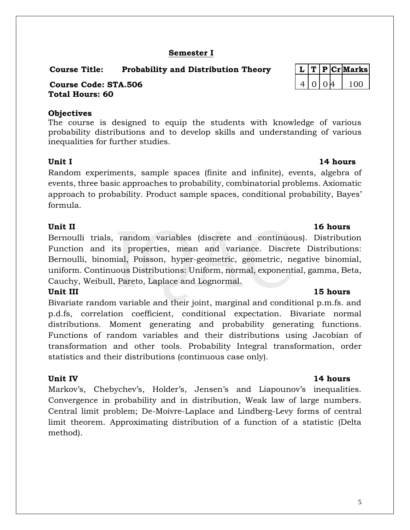# 5

## **Semester I**

## **Course Title: Probability and Distribution Theory L T P Cr Marks**

### **Course Code: STA.506** 4 0 0 4 100 4 100 **Total Hours: 60**

### **Objectives**

The course is designed to equip the students with knowledge of various probability distributions and to develop skills and understanding of various inequalities for further studies.

## **Unit I** 14 hours

Random experiments, sample spaces (finite and infinite), events, algebra of events, three basic approaches to probability, combinatorial problems. Axiomatic approach to probability. Product sample spaces, conditional probability, Bayes' formula.

Bernoulli trials, random variables (discrete and continuous). Distribution Function and its properties, mean and variance. Discrete Distributions: Bernoulli, binomial, Poisson, hyper-geometric, geometric, negative binomial, uniform. Continuous Distributions: Uniform, normal, exponential, gamma, Beta, Cauchy, Weibull, Pareto, Laplace and Lognormal.

## **Unit III** 15 hours

Bivariate random variable and their joint, marginal and conditional p.m.fs. and p.d.fs, correlation coefficient, conditional expectation. Bivariate normal distributions. Moment generating and probability generating functions. Functions of random variables and their distributions using Jacobian of transformation and other tools. Probability Integral transformation, order statistics and their distributions (continuous case only).

## **Unit IV 14 hours**

Markov's, Chebychev's, Holder's, Jensen's and Liapounov's inequalities. Convergence in probability and in distribution, Weak law of large numbers. Central limit problem; De-Moivre-Laplace and Lindberg-Levy forms of central limit theorem. Approximating distribution of a function of a statistic (Delta method).

## **Unit II** 16 hours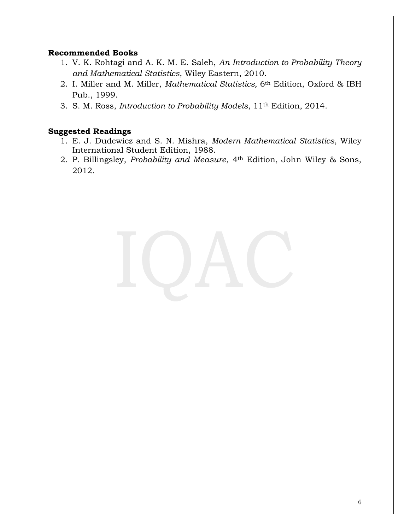### **Recommended Books**

- 1. V. K. Rohtagi and A. K. M. E. Saleh, *An Introduction to Probability Theory and Mathematical Statistics*, Wiley Eastern, 2010.
- 2. I. Miller and M. Miller, *Mathematical Statistics,* 6th Edition, Oxford & IBH Pub., 1999.
- 3. S. M. Ross, *Introduction to Probability Models*, 11th Edition, 2014.

- 1. E. J. Dudewicz and S. N. Mishra, *Modern Mathematical Statistics*, Wiley International Student Edition, 1988.
- 2. [P. Billingsley,](https://www.google.co.in/search?tbo=p&tbm=bks&q=inauthor:%22Patrick+Billingsley%22) *Probability and Measure*, 4th Edition, John Wiley & Sons, 2012.

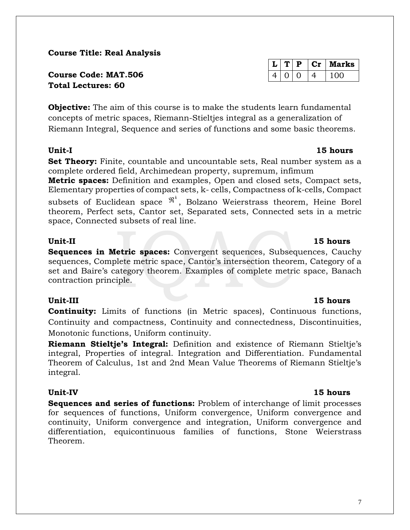**Course Title: Real Analysis**

**Course Code: MAT.506 Total Lectures: 60**

**Objective:** The aim of this course is to make the students learn fundamental concepts of metric spaces, Riemann-Stieltjes integral as a generalization of Riemann Integral, Sequence and series of functions and some basic theorems.

### **Unit-I 15 hours**

**Set Theory:** Finite, countable and uncountable sets, Real number system as a complete ordered field, Archimedean property, supremum, infimum

**Metric spaces:** Definition and examples, Open and closed sets, Compact sets, Elementary properties of compact sets, k- cells, Compactness of k-cells, Compact

subsets of Euclidean space  $\mathfrak{R}^k$ , Bolzano Weierstrass theorem, Heine Borel theorem, Perfect sets, Cantor set, Separated sets, Connected sets in a metric space, Connected subsets of real line.

### **Unit-II 15 hours**

**Sequences in Metric spaces:** Convergent sequences, Subsequences, Cauchy sequences, Complete metric space, Cantor's intersection theorem, Category of a set and Baire's category theorem. Examples of complete metric space, Banach contraction principle.

### **Unit-III 15 hours**

**Continuity:** Limits of functions (in Metric spaces), Continuous functions, Continuity and compactness, Continuity and connectedness, Discontinuities, Monotonic functions, Uniform continuity.

**Riemann Stieltje's Integral:** Definition and existence of Riemann Stieltje's integral, Properties of integral. Integration and Differentiation. Fundamental Theorem of Calculus, 1st and 2nd Mean Value Theorems of Riemann Stieltje's integral.

## **Unit-IV 15 hours**

**Sequences and series of functions:** Problem of interchange of limit processes for sequences of functions, Uniform convergence, Uniform convergence and continuity, Uniform convergence and integration, Uniform convergence and differentiation, equicontinuous families of functions, Stone Weierstrass Theorem.

# $4 | 0 | 0 | 4 | 100$

 $L | T | P | Cr |$  Marks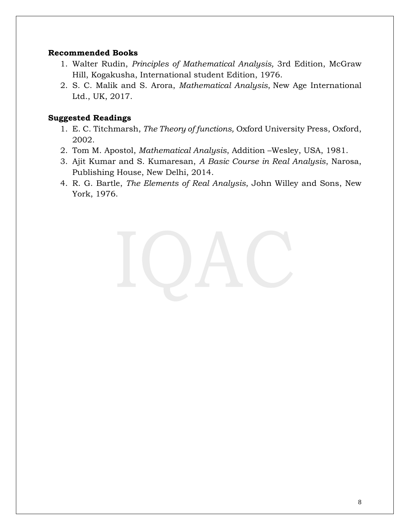### **Recommended Books**

- 1. Walter Rudin, *Principles of Mathematical Analysis,* 3rd Edition, McGraw Hill, Kogakusha, International student Edition, 1976.
- 2. S. C. Malik and S. Arora, *Mathematical Analysis*, New Age International Ltd., UK, 2017.

- 1. E. C. Titchmarsh, *The Theory of functions,* Oxford University Press, Oxford, 2002.
- 2. Tom M. Apostol, *Mathematical Analysis*, Addition –Wesley, USA, 1981.
- 3. Ajit Kumar and S. Kumaresan, *A Basic Course in Real Analysis*, Narosa, Publishing House, New Delhi, 2014.
- 4. R. G. Bartle, *The Elements of Real Analysis*, John Willey and Sons, New York, 1976.

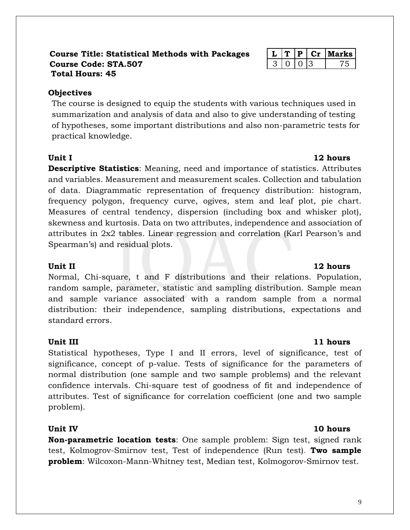### **Course Title: Statistical Methods with Packages L T P Cr Marks Course Code: STA.507** 3 0 3 3 3 3 3 3 3 3 3 3 3 3 3 3 4 3 3 4 3 4 3 4 3 4 3 4 3 4 3 4 3 4 3 4 3 4 3 4 3 4 3 4  $75$ **Total Hours: 45**

## **Objectives**

The course is designed to equip the students with various techniques used in summarization and analysis of data and also to give understanding of testing of hypotheses, some important distributions and also non-parametric tests for practical knowledge.

**Descriptive Statistics**: Meaning, need and importance of statistics. Attributes and variables. Measurement and measurement scales. Collection and tabulation of data. Diagrammatic representation of frequency distribution: histogram, frequency polygon, frequency curve, ogives, stem and leaf plot, pie chart. Measures of central tendency, dispersion (including box and whisker plot), skewness and kurtosis. Data on two attributes, independence and association of attributes in 2x2 tables. Linear regression and correlation (Karl Pearson's and Spearman's) and residual plots.

### **Unit II** 12 hours

Normal, Chi-square, t and F distributions and their relations. Population, random sample, parameter, statistic and sampling distribution. Sample mean and sample variance associated with a random sample from a normal distribution: their independence, sampling distributions, expectations and standard errors.

### **Unit III** 11 hours

Statistical hypotheses, Type I and II errors, level of significance, test of significance, concept of p-value. Tests of significance for the parameters of normal distribution (one sample and two sample problems) and the relevant confidence intervals. Chi-square test of goodness of fit and independence of attributes. Test of significance for correlation coefficient (one and two sample problem).

**Non-parametric location tests**: One sample problem: Sign test, signed rank test, Kolmogrov-Smirnov test, Test of independence (Run test). **Two sample problem**: Wilcoxon-Mann-Whitney test, Median test, Kolmogorov-Smirnov test.

## **Unit I** 12 hours

## **Unit IV 10 hours**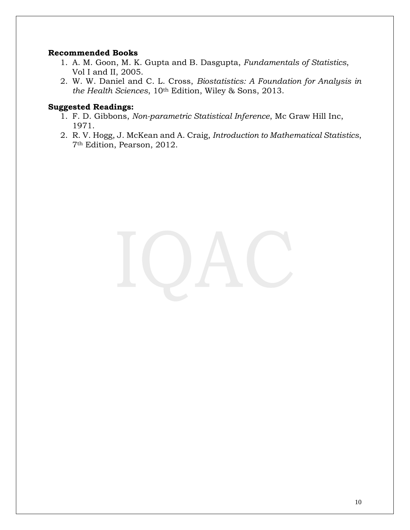### **Recommended Books**

- 1. A. M. Goon, M. K. Gupta and B. Dasgupta, *Fundamentals of Statistics*, Vol I and II, 2005.
- 2. W. W. Daniel and C. L. Cross, *Biostatistics: A Foundation for Analysis in the Health Sciences*, 10th Edition, Wiley & Sons, 2013.

- 1. F. D. Gibbons, *Non-parametric Statistical Inference*, Mc Graw Hill Inc, 1971.
- 2. R. V. Hogg, J. McKean and A. Craig, *Introduction to Mathematical Statistics*, 7th Edition, Pearson, 2012.

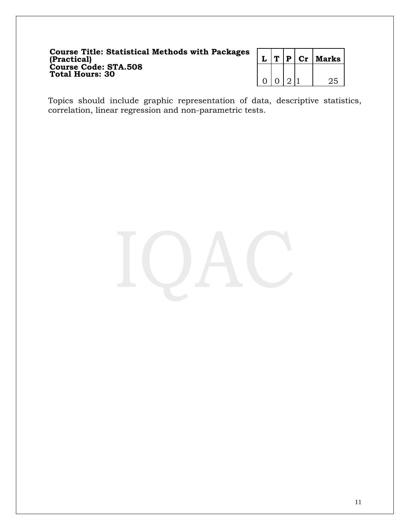### **Course Title: Statistical Methods with Packages (Practical) L T P Cr Marks Course Code: STA.508 Total Hours: 30**

|  |  | P Cr | Marks |
|--|--|------|-------|
|  |  |      |       |
|  |  |      |       |

Topics should include graphic representation of data, descriptive statistics, correlation, linear regression and non-parametric tests.

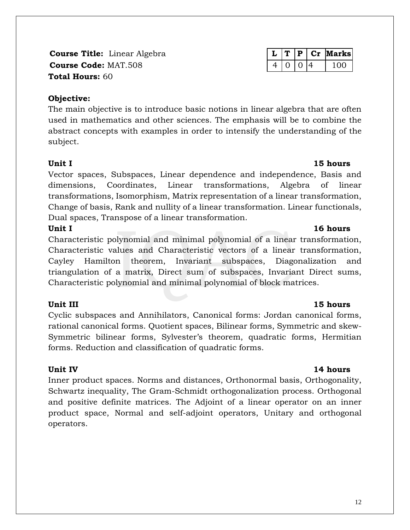**Course Title:** Linear Algebra **Course Code: MAT.508 Total Hours:** 60

### **Objective:**

The main objective is to introduce basic notions in linear algebra that are often used in mathematics and other sciences. The emphasis will be to combine the abstract concepts with examples in order to intensify the understanding of the subject.

Vector spaces, Subspaces, Linear dependence and independence, Basis and dimensions, Coordinates, Linear transformations, Algebra of linear transformations, Isomorphism, Matrix representation of a linear transformation, Change of basis, Rank and nullity of a linear transformation. Linear functionals, Dual spaces, Transpose of a linear transformation.

Characteristic polynomial and minimal polynomial of a linear transformation, Characteristic values and Characteristic vectors of a linear transformation, Cayley Hamilton theorem, Invariant subspaces, Diagonalization and triangulation of a matrix, Direct sum of subspaces, Invariant Direct sums, Characteristic polynomial and minimal polynomial of block matrices.

### **Unit III** 15 hours

Cyclic subspaces and Annihilators, Canonical forms: Jordan canonical forms, rational canonical forms. Quotient spaces, Bilinear forms, Symmetric and skew-Symmetric bilinear forms, Sylvester's theorem, quadratic forms, Hermitian forms. Reduction and classification of quadratic forms.

Inner product spaces. Norms and distances, Orthonormal basis, Orthogonality, Schwartz inequality, The Gram-Schmidt orthogonalization process. Orthogonal and positive definite matrices. The Adjoint of a linear operator on an inner product space, Normal and self-adjoint operators, Unitary and orthogonal operators.

|  | ı. | a ter | Marksl |
|--|----|-------|--------|
|  |    |       | 11 M X |

### **Unit IV 14 hours**

### **Unit I** 15 hours

## Unit I 16 hours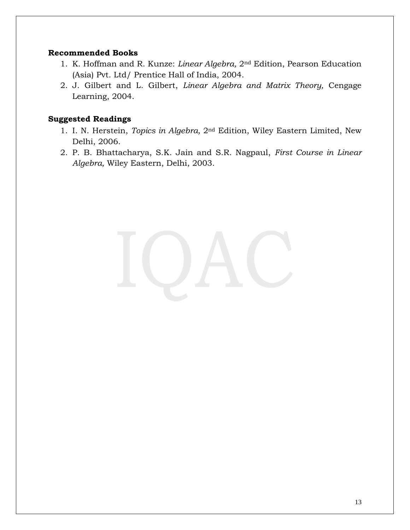### **Recommended Books**

- 1. K. Hoffman and R. Kunze: *Linear Algebra,* 2nd Edition, Pearson Education (Asia) Pvt. Ltd/ Prentice Hall of India, 2004.
- 2. J. Gilbert and L. Gilbert, *Linear Algebra and Matrix Theory,* Cengage Learning, 2004.

- 1. I. N. Herstein, *Topics in Algebra,* 2nd Edition, Wiley Eastern Limited, New Delhi, 2006.
- 2. P. B. Bhattacharya, S.K. Jain and S.R. Nagpaul, *First Course in Linear Algebra,* Wiley Eastern, Delhi, 2003.

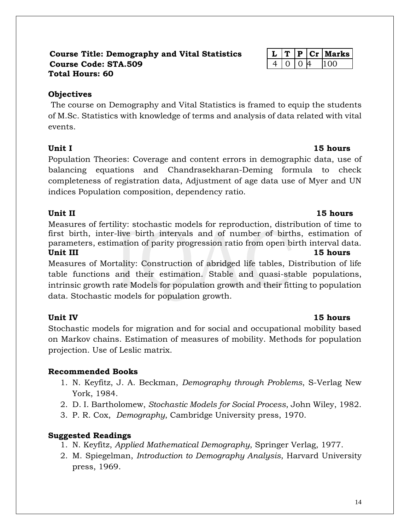### **Course Title: Demography and Vital Statistics L T P Cr Marks Course Code: STA.509** 4 0 0 4 100 **Total Hours: 60**

## **Objectives**

The course on Demography and Vital Statistics is framed to equip the students of M.Sc. Statistics with knowledge of terms and analysis of data related with vital events.

## Unit I 15 hours

Population Theories: Coverage and content errors in demographic data, use of balancing equations and Chandrasekharan-Deming formula to check completeness of registration data, Adjustment of age data use of Myer and UN indices Population composition, dependency ratio.

## **Unit II** 15 hours

Measures of fertility: stochastic models for reproduction, distribution of time to first birth, inter-live birth intervals and of number of births, estimation of parameters, estimation of parity progression ratio from open birth interval data. **Unit III** 15 hours

Measures of Mortality: Construction of abridged life tables, Distribution of life table functions and their estimation. Stable and quasi-stable populations, intrinsic growth rate Models for population growth and their fitting to population data. Stochastic models for population growth.

## **Unit IV 15 hours**

Stochastic models for migration and for social and occupational mobility based on Markov chains. Estimation of measures of mobility. Methods for population projection. Use of Leslic matrix.

## **Recommended Books**

- 1. N. Keyfitz, J. A. Beckman, *Demography through Problems*, S-Verlag New York, 1984.
- 2. D. I. Bartholomew, *Stochastic Models for Social Process*, John Wiley, 1982.
- 3. P. R. Cox, *Demography*, Cambridge University press, 1970.

- 1. N. Keyfitz, *Applied Mathematical Demography*, Springer Verlag, 1977.
- 2. M. Spiegelman, *Introduction to Demography Analysis*, Harvard University press, 1969.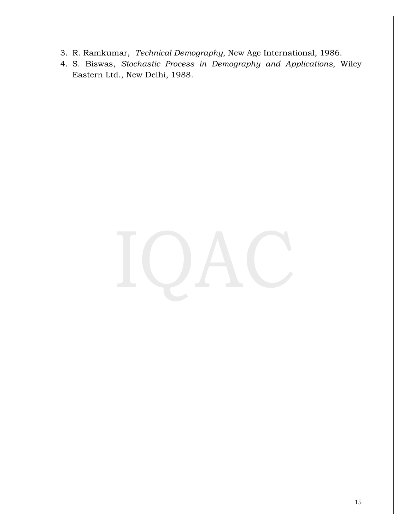- 3. R. Ramkumar, *Technical Demography*, New Age International, 1986.
- 4. S. Biswas, *Stochastic Process in Demography and Applications*, Wiley Eastern Ltd., New Delhi, 1988.

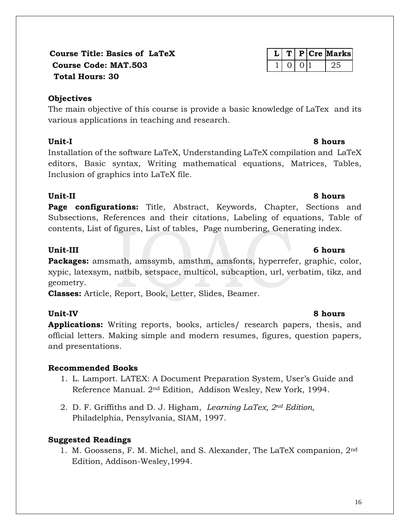## **Course Title: Basics of LaTeX L T P Cre Marks Course Code: MAT.503** 1 1 0 0 1 25  **Total Hours: 30**

## **Objectives**

The main objective of this course is provide a basic knowledge of LaTex and its various applications in teaching and research.

## **Unit-I 8 hours**

Installation of the software LaTeX, Understanding LaTeX compilation and LaTeX editors, Basic syntax, Writing mathematical equations, Matrices, Tables, Inclusion of graphics into LaTeX file.

## **Unit-II 8 hours**

**Page configurations:** Title, Abstract, Keywords, Chapter, Sections and Subsections, References and their citations, Labeling of equations, Table of contents, List of figures, List of tables, Page numbering, Generating index.

## **Unit-III 6 hours**

**Packages:** amsmath, amssymb, amsthm, amsfonts, hyperrefer, graphic, color, xypic, latexsym, natbib, setspace, multicol, subcaption, url, verbatim, tikz, and geometry.

**Classes:** Article, Report, Book, Letter, Slides, Beamer.

## **Unit-IV 8 hours**

**Applications:** Writing reports, books, articles/ research papers, thesis, and official letters. Making simple and modern resumes, figures, question papers, and presentations.

## **Recommended Books**

- 1. L. Lamport. LATEX: A Document Preparation System, User's Guide and Reference Manual. 2nd Edition, Addison Wesley, New York, 1994.
- 2. D. F. Griffiths and D. J. Higham, *Learning LaTex, 2nd Edition,*  Philadelphia, Pensylvania, SIAM, 1997.

## **Suggested Readings**

1. M. Goossens, F. M. Michel, and S. Alexander, The LaTeX companion, 2nd Edition, Addison-Wesley,1994.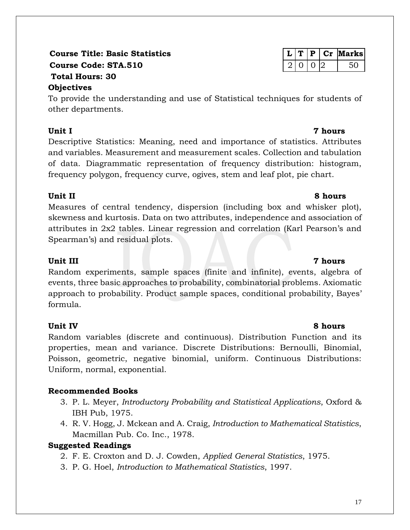## **Course Title: Basic Statistics**  $\boxed{L \mid T \mid P \mid Cr}$  Marks **Course Code: STA.510** 2 0 0 2 50 **Total Hours: 30**

## **Objectives**

To provide the understanding and use of Statistical techniques for students of other departments.

## **Unit I 7 hours**

Descriptive Statistics: Meaning, need and importance of statistics. Attributes and variables. Measurement and measurement scales. Collection and tabulation of data. Diagrammatic representation of frequency distribution: histogram, frequency polygon, frequency curve, ogives, stem and leaf plot, pie chart.

## **Unit II 8 hours**

Measures of central tendency, dispersion (including box and whisker plot), skewness and kurtosis. Data on two attributes, independence and association of attributes in 2x2 tables. Linear regression and correlation (Karl Pearson's and Spearman's) and residual plots.

## **Unit III 7 hours**

Random experiments, sample spaces (finite and infinite), events, algebra of events, three basic approaches to probability, combinatorial problems. Axiomatic approach to probability. Product sample spaces, conditional probability, Bayes' formula.

Random variables (discrete and continuous). Distribution Function and its properties, mean and variance. Discrete Distributions: Bernoulli, Binomial, Poisson, geometric, negative binomial, uniform. Continuous Distributions: Uniform, normal, exponential.

## **Recommended Books**

- 3. P. L. Meyer, *Introductory Probability and Statistical Applications*, Oxford & IBH Pub, 1975.
- 4. R. V. Hogg, J. Mckean and A. Craig, *Introduction to Mathematical Statistics*, Macmillan Pub. Co. Inc., 1978.

## **Suggested Readings**

2. F. E. Croxton and D. J. Cowden, *Applied General Statistics*, 1975.

3. P. G. Hoel, *Introduction to Mathematical Statistics*, 1997.

## **Unit IV 8 hours**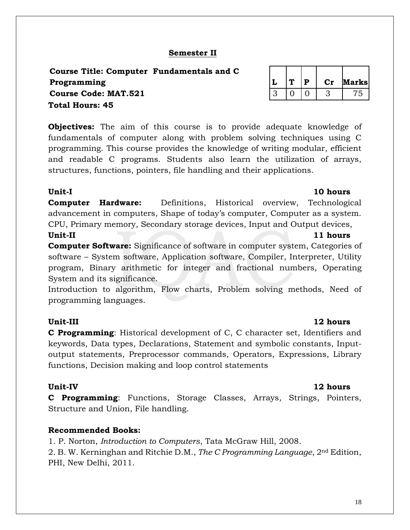18

## **Semester II**

**Course Title: Computer Fundamentals and C**   $Programming$ **Course Code: MAT.521 Total Hours: 45**

**Objectives:** The aim of this course is to provide adequate knowledge of fundamentals of computer along with problem solving techniques using C programming. This course provides the knowledge of writing modular, efficient and readable C programs. Students also learn the utilization of arrays, structures, functions, pointers, file handling and their applications.

### **Unit-I 10 hours**

**Computer Hardware:** Definitions, Historical overview, Technological advancement in computers, Shape of today's computer, Computer as a system. CPU, Primary memory, Secondary storage devices, Input and Output devices, **Unit-II** 11 hours

**Computer Software:** Significance of software in computer system, Categories of software – System software, Application software, Compiler, Interpreter, Utility program, Binary arithmetic for integer and fractional numbers, Operating System and its significance.

Introduction to algorithm, Flow charts, Problem solving methods, Need of programming languages.

**C Programming**: Historical development of C, C character set, Identifiers and keywords, Data types, Declarations, Statement and symbolic constants, Inputoutput statements, Preprocessor commands, Operators, Expressions, Library functions, Decision making and loop control statements

**C Programming**: Functions, Storage Classes, Arrays, Strings, Pointers, Structure and Union, File handling.

### **Recommended Books:**

1. P. Norton, *Introduction to Computers*, Tata McGraw Hill, 2008.

2. B. W. Kerninghan and Ritchie D.M., *The C Programming Language*, 2nd Edition, PHI, New Delhi, 2011.

|  | D | larks |
|--|---|-------|
|  |   |       |

### **Unit-III 12 hours**

### **Unit-IV 12 hours**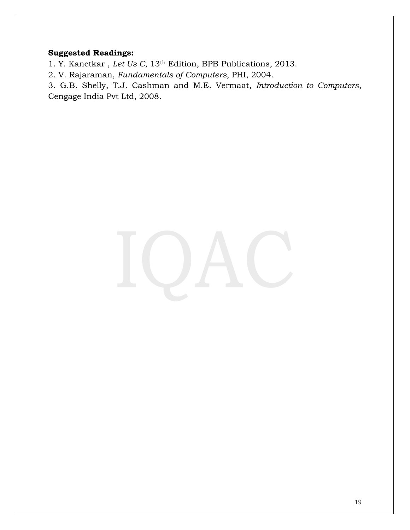## **Suggested Readings:**

1. Y. Kanetkar , *Let Us C*, 13th Edition, BPB Publications, 2013.

2. V. Rajaraman, *Fundamentals of Computers*, PHI, 2004.

3. G.B. Shelly, T.J. Cashman and M.E. Vermaat, *Introduction to Computers*, Cengage India Pvt Ltd, 2008.

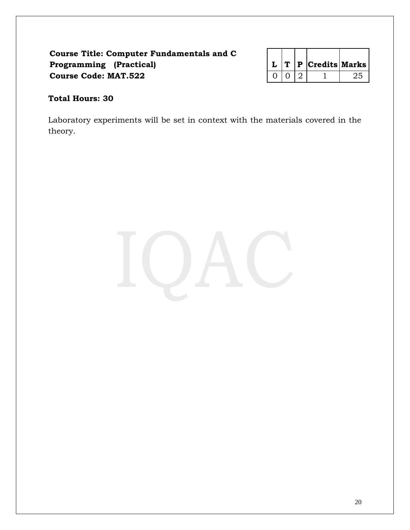## **Course Title: Computer Fundamentals and C Programming (Practical) Course Code: MAT.522**

|  | $T$   P   Credits   Marks |  |
|--|---------------------------|--|
|  |                           |  |

## **Total Hours: 30**

Laboratory experiments will be set in context with the materials covered in the theory.

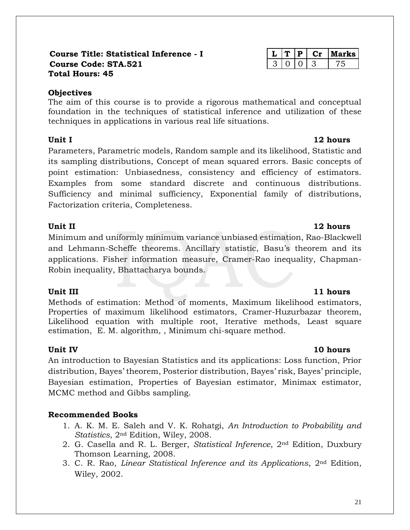### **Course Title: Statistical Inference - I Course Code: STA.521 Total Hours: 45**

## **Objectives**

The aim of this course is to provide a rigorous mathematical and conceptual foundation in the techniques of statistical inference and utilization of these techniques in applications in various real life situations.

Parameters, Parametric models, Random sample and its likelihood, Statistic and its sampling distributions, Concept of mean squared errors. Basic concepts of point estimation: Unbiasedness, consistency and efficiency of estimators. Examples from some standard discrete and continuous distributions. Sufficiency and minimal sufficiency, Exponential family of distributions, Factorization criteria, Completeness.

Minimum and uniformly minimum variance unbiased estimation, Rao-Blackwell and Lehmann-Scheffe theorems. Ancillary statistic, Basu's theorem and its applications. Fisher information measure, Cramer-Rao inequality, Chapman-Robin inequality, Bhattacharya bounds.

## **Unit III** 11 hours

Methods of estimation: Method of moments, Maximum likelihood estimators, Properties of maximum likelihood estimators, Cramer-Huzurbazar theorem, Likelihood equation with multiple root, Iterative methods, Least square estimation, E. M. algorithm, , Minimum chi-square method.

An introduction to Bayesian Statistics and its applications: Loss function, Prior distribution, Bayes' theorem, Posterior distribution, Bayes' risk, Bayes' principle, Bayesian estimation, Properties of Bayesian estimator, Minimax estimator, MCMC method and Gibbs sampling.

## **Recommended Books**

- 1. A. K. M. E. Saleh and V. K. Rohatgi, *An Introduction to Probability and Statistics*, 2nd Edition, Wiley, 2008.
- 2. G. Casella and R. L. Berger, *Statistical Inference*, 2nd Edition, Duxbury Thomson Learning, 2008.
- 3. C. R. Rao, *Linear Statistical Inference and its Applications*, 2nd Edition, Wiley, 2002.

## **Unit I** 12 hours

## **Unit II** 12 hours

### **Unit IV 10 hours**

|  |  | rks |
|--|--|-----|
|  |  |     |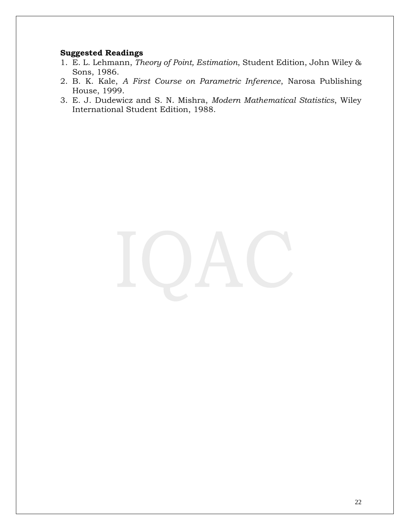- 1. E. L. Lehmann, *Theory of Point, Estimation*, Student Edition, John Wiley & Sons, 1986.
- 2. B. K. Kale, *A First Course on Parametric Inference*, Narosa Publishing House, 1999.
- 3. E. J. Dudewicz and S. N. Mishra, *Modern Mathematical Statistics*, Wiley International Student Edition, 1988.

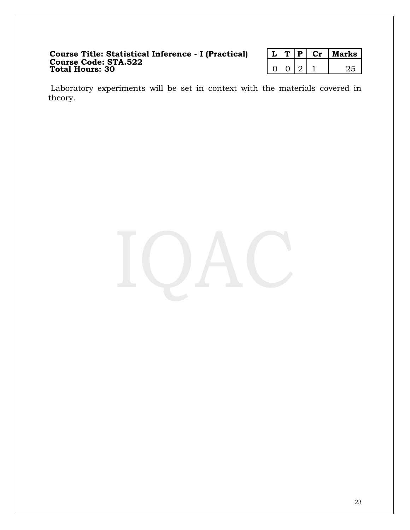### **Course Title: Statistical Inference - I (Practical) L T P Cr Marks Course Code: STA.522 Total Hours: 30** 0 0 2 1 25

|  | u | arks |
|--|---|------|
|  |   |      |

Laboratory experiments will be set in context with the materials covered in theory.

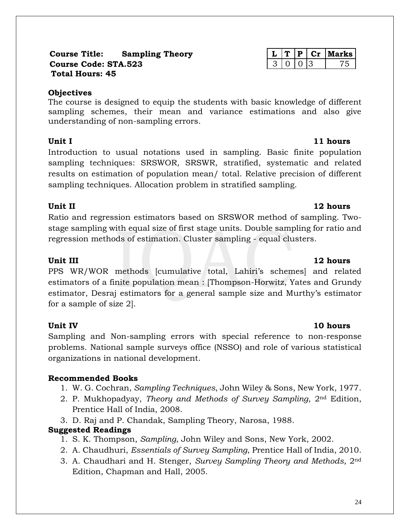### **Course Title: Sampling Theory L T P Cr Marks Course Code: STA.523** 3 0 0 3 75 **Total Hours: 45**

## **Objectives**

The course is designed to equip the students with basic knowledge of different sampling schemes, their mean and variance estimations and also give understanding of non-sampling errors.

Introduction to usual notations used in sampling. Basic finite population sampling techniques: SRSWOR, SRSWR, stratified, systematic and related results on estimation of population mean/ total. Relative precision of different sampling techniques. Allocation problem in stratified sampling.

## **Unit II** 12 hours

Ratio and regression estimators based on SRSWOR method of sampling. Twostage sampling with equal size of first stage units. Double sampling for ratio and regression methods of estimation. Cluster sampling - equal clusters.

PPS WR/WOR methods [cumulative total, Lahiri's schemes] and related estimators of a finite population mean : [Thompson-Horwitz, Yates and Grundy estimator, Desraj estimators for a general sample size and Murthy's estimator for a sample of size 2].

## **Unit IV 10 hours**

Sampling and Non-sampling errors with special reference to non-response problems. National sample surveys office (NSSO) and role of various statistical organizations in national development.

## **Recommended Books**

- 1. W. G. Cochran, *Sampling Techniques*, John Wiley & Sons, New York, 1977.
- 2. P. Mukhopadyay, *Theory and Methods of Survey Sampling*, 2nd Edition, Prentice Hall of India, 2008.
- 3. D. Raj and P. Chandak, Sampling Theory, Narosa, 1988.

## **Suggested Readings**

- 1. S. K. Thompson, *Sampling*, John Wiley and Sons, New York, 2002.
- 2. A. Chaudhuri, *Essentials of Survey Sampling*, Prentice Hall of India, 2010.
- 3. A. Chaudhari and H. Stenger, *Survey Sampling Theory and Methods*, 2nd Edition, Chapman and Hall, 2005.

## **Unit III** 12 hours

## **Unit I** 11 hours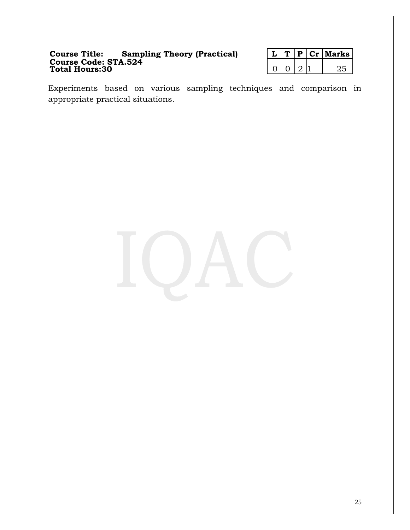### **Course Title: Sampling Theory (Practical) L T P Cr Marks Course Code: STA.524 Total Hours:30** 0 0 2 1 25

|  | Р. | CT | <b>farks</b> |
|--|----|----|--------------|
|  | ., |    |              |

Experiments based on various sampling techniques and comparison in appropriate practical situations.

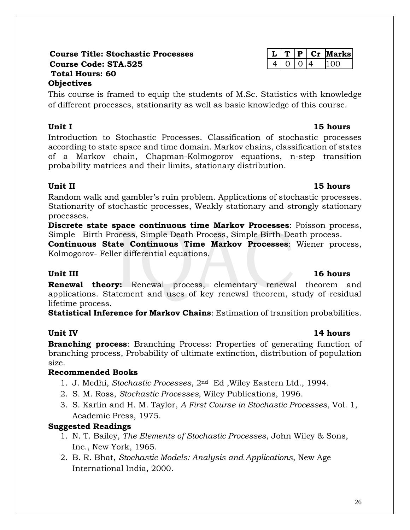### **Course Title: Stochastic Processes L T P Cr Marks Course Code: STA.525** 4 0 0 4 100 **Total Hours: 60 Objectives**

This course is framed to equip the students of M.Sc. Statistics with knowledge of different processes, stationarity as well as basic knowledge of this course.

## **Unit I 15 hours**

Introduction to Stochastic Processes. Classification of stochastic processes according to state space and time domain. Markov chains, classification of states of a Markov chain, Chapman-Kolmogorov equations, n-step transition probability matrices and their limits, stationary distribution.

Random walk and gambler's ruin problem. Applications of stochastic processes. Stationarity of stochastic processes, Weakly stationary and strongly stationary processes.

**Discrete state space continuous time Markov Processes**: Poisson process, Simple Birth Process, Simple Death Process, Simple Birth-Death process.

**Continuous State Continuous Time Markov Processes**: Wiener process, Kolmogorov- Feller differential equations.

## **Unit III** 16 **hours**

**Renewal theory:** Renewal process, elementary renewal theorem and applications. Statement and uses of key renewal theorem, study of residual lifetime process.

**Statistical Inference for Markov Chains**: Estimation of transition probabilities.

**Branching process**: Branching Process: Properties of generating function of branching process, Probability of ultimate extinction, distribution of population size.

## **Recommended Books**

- 1. J. Medhi, *Stochastic Processes*, 2nd Ed ,Wiley Eastern Ltd., 1994.
- 2. S. M. Ross, *Stochastic Processes,* Wiley Publications, 1996.
- 3. S. Karlin and H. M. Taylor, *A First Course in Stochastic Processes*, Vol. 1, Academic Press, 1975.

## **Suggested Readings**

- 1. N. T. Bailey, *The Elements of Stochastic Processes*, John Wiley & Sons, Inc., New York, 1965.
- 2. B. R. Bhat, *Stochastic Models: Analysis and Applications*, New Age International India, 2000.

## **Unit II 15 hours**

## **Unit IV 14 hours**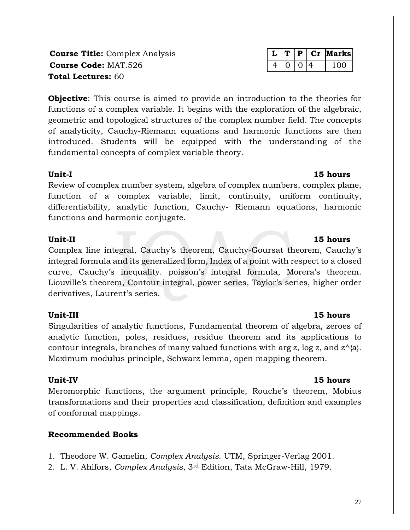**Course Title:** Complex Analysis **L T P Cr Marks Course Code:** MAT.526 4 0 0 4 100 **Total Lectures:** 60

**Objective**: This course is aimed to provide an introduction to the theories for functions of a complex variable. It begins with the exploration of the algebraic, geometric and topological structures of the complex number field. The concepts of analyticity, Cauchy-Riemann equations and harmonic functions are then introduced. Students will be equipped with the understanding of the fundamental concepts of complex variable theory.

### **Unit-I 15 hours**

Review of complex number system, algebra of complex numbers, complex plane, function of a complex variable, limit, continuity, uniform continuity, differentiability, analytic function, Cauchy- Riemann equations, harmonic functions and harmonic conjugate.

Complex line integral, Cauchy's theorem, Cauchy-Goursat theorem, Cauchy's integral formula and its generalized form, Index of a point with respect to a closed curve, Cauchy's inequality. poisson's integral formula, Morera's theorem. Liouville's theorem, Contour integral, power series, Taylor's series, higher order derivatives, Laurent's series.

## **Unit-III 15 hours**

Singularities of analytic functions, Fundamental theorem of algebra, zeroes of analytic function, poles, residues, residue theorem and its applications to contour integrals, branches of many valued functions with arg z, log z, and  $z^{\wedge}$ {a}. Maximum modulus principle, Schwarz lemma, open mapping theorem.

## **Unit-IV 15 hours**

Meromorphic functions, the argument principle, Rouche's theorem, Mobius transformations and their properties and classification, definition and examples of conformal mappings.

## **Recommended Books**

- 1. Theodore W. Gamelin, *Complex Analysis*. UTM, Springer-Verlag 2001.
- 2. L. V. Ahlfors, *Complex Analysis*, 3rd Edition, Tata McGraw-Hill, 1979.

## **Unit-II** 15 hours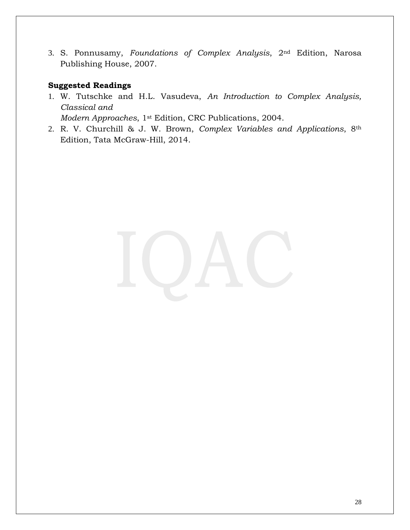3. S. Ponnusamy, *Foundations of Complex Analysis*, 2nd Edition, Narosa Publishing House, 2007.

## **Suggested Readings**

1. W. Tutschke and H.L. Vasudeva, *An Introduction to Complex Analysis, Classical and* 

*Modern Approaches*, 1st Edition, CRC Publications, 2004.

2. R. V. Churchill & J. W. Brown, *Complex Variables and Applications*, 8th Edition, Tata McGraw-Hill, 2014.

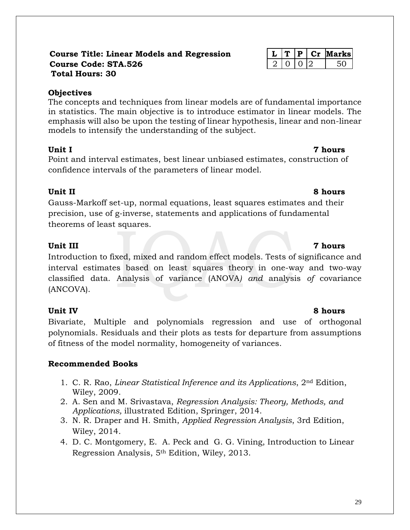### **Course Title: Linear Models and Regression L T P Cr Marks Course Code: STA.526** 2 0 0 2 50 **Total Hours: 30**

## **Objectives**

The concepts and techniques from linear models are of fundamental importance in statistics. The main objective is to introduce estimator in linear models. The emphasis will also be upon the testing of linear hypothesis, linear and non-linear models to intensify the understanding of the subject.

Point and interval estimates, best linear unbiased estimates, construction of confidence intervals of the parameters of linear model.

Gauss-Markoff set-up, normal equations, least squares estimates and their precision, use of g-inverse, statements and applications of fundamental theorems of least squares.

Introduction to fixed, mixed and random effect models. Tests of significance and interval estimates based on least squares theory in one-way and two-way classified data. Analysis of variance (ANOVA*) and* analysis *of* covariance (ANCOVA).

Bivariate, Multiple and polynomials regression and use of orthogonal polynomials. Residuals and their plots as tests for departure from assumptions of fitness of the model normality, homogeneity of variances.

## **Recommended Books**

- 1. C. R. Rao, *Linear Statistical Inference and its Applications*, 2nd Edition, Wiley, 2009.
- 2. A. Sen and M. Srivastava, *Regression Analysis: Theory, Methods, and Applications,* illustrated Edition, Springer, 2014.
- 3. N. R. Draper and H. Smith, *Applied Regression Analysis*, 3rd Edition, Wiley, 2014.
- 4. [D. C. Montgomery,](https://www.google.co.in/search?tbo=p&tbm=bks&q=inauthor:%22Douglas+C.+Montgomery%22&source=gbs_metadata_r&cad=5) [E. A. Peck](https://www.google.co.in/search?tbo=p&tbm=bks&q=inauthor:%22Elizabeth+A.+Peck%22&source=gbs_metadata_r&cad=5) and [G. G. Vining,](https://www.google.co.in/search?tbo=p&tbm=bks&q=inauthor:%22G.+Geoffrey+Vining%22&source=gbs_metadata_r&cad=5) Introduction to Linear Regression Analysis, 5th Edition, Wiley, 2013.

## **Unit II** 8 hours

## **Unit IV** 8 hours

## **Unit III 7 hours**

## **Unit I** 7 hours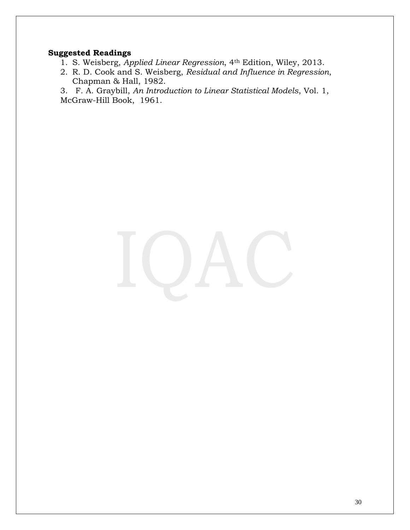## **Suggested Readings**

- 1. S. Weisberg, *Applied Linear Regression*, 4th Edition, Wiley, 2013.
- 2. R. D. Cook and S. Weisberg, *Residual and Influence in Regression*, Chapman & Hall, 1982.

3. F. A. Graybill, *An Introduction to Linear Statistical Models*, Vol. 1, McGraw-Hill Book, 1961.

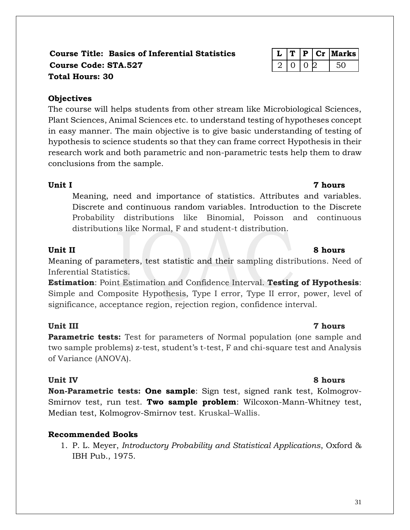## **Course Title: Basics of Inferential Statistics L T P Cr Marks Course Code: STA.527** 2 0 0 2 50 **Total Hours: 30**

## **Objectives**

The course will helps students from other stream like Microbiological Sciences, Plant Sciences, Animal Sciences etc. to understand testing of hypotheses concept in easy manner. The main objective is to give basic understanding of testing of hypothesis to science students so that they can frame correct Hypothesis in their research work and both parametric and non-parametric tests help them to draw conclusions from the sample.

## **Unit I 7 hours**

Meaning, need and importance of statistics. Attributes and variables. Discrete and continuous random variables. Introduction to the Discrete Probability distributions like Binomial, Poisson and continuous distributions like Normal, F and student-t distribution.

Meaning of parameters, test statistic and their sampling distributions. Need of Inferential Statistics.

**Estimation**: Point Estimation and Confidence Interval. **Testing of Hypothesis**: Simple and Composite Hypothesis, Type I error, Type II error, power, level of significance, acceptance region, rejection region, confidence interval.

## **Unit III 7 hours**

**Parametric tests:** Test for parameters of Normal population (one sample and two sample problems) z-test, student's t-test, F and chi-square test and Analysis of Variance (ANOVA).

**Non-Parametric tests: One sample**: Sign test, signed rank test, Kolmogrov-Smirnov test, run test. **Two sample problem**: Wilcoxon-Mann-Whitney test, Median test, Kolmogrov-Smirnov test. Kruskal–Wallis.

## **Recommended Books**

1. P. L. Meyer, *Introductory Probability and Statistical Applications*, Oxford & IBH Pub., 1975.

## **Unit IV** 8 hours

## **Unit II 8 hours**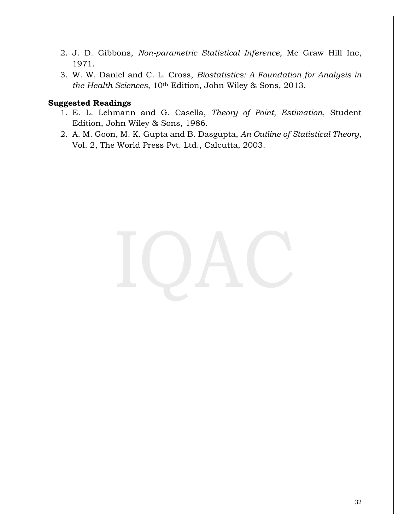- 2. J. D. Gibbons, *Non-parametric Statistical Inference*, Mc Graw Hill Inc, 1971.
- 3. W. W. Daniel and C. L. Cross, *Biostatistics: A Foundation for Analysis in the Health Sciences,* 10th Edition*,* John Wiley & Sons, 2013.

- 1. E. L. Lehmann and G. Casella, *Theory of Point, Estimation*, Student Edition, John Wiley & Sons, 1986.
- 2. A. M. Goon, M. K. Gupta and B. Dasgupta, *An Outline of Statistical Theory*, Vol. 2, The World Press Pvt. Ltd., Calcutta, 2003.

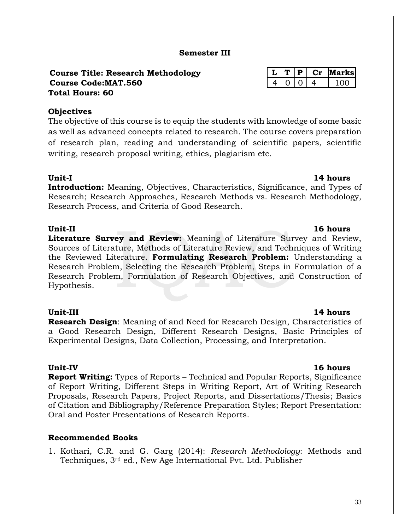### **Semester III**

### **Course Title: Research Methodology Course Code:MAT.560 Total Hours: 60**

### **Objectives**

The objective of this course is to equip the students with knowledge of some basic as well as advanced concepts related to research. The course covers preparation of research plan, reading and understanding of scientific papers, scientific writing, research proposal writing, ethics, plagiarism etc.

### **Unit-I 14 hours**

**Introduction:** Meaning, Objectives, Characteristics, Significance, and Types of Research; Research Approaches, Research Methods vs. Research Methodology, Research Process, and Criteria of Good Research.

**Literature Survey and Review:** Meaning of Literature Survey and Review, Sources of Literature, Methods of Literature Review, and Techniques of Writing the Reviewed Literature. **Formulating Research Problem:** Understanding a Research Problem, Selecting the Research Problem, Steps in Formulation of a Research Problem, Formulation of Research Objectives, and Construction of Hypothesis.

### **Unit-III 14 hours**

**Research Design**: Meaning of and Need for Research Design, Characteristics of a Good Research Design, Different Research Designs, Basic Principles of Experimental Designs, Data Collection, Processing, and Interpretation.

**Report Writing:** Types of Reports – Technical and Popular Reports, Significance of Report Writing, Different Steps in Writing Report, Art of Writing Research Proposals, Research Papers, Project Reports, and Dissertations/Thesis; Basics of Citation and Bibliography/Reference Preparation Styles; Report Presentation: Oral and Poster Presentations of Research Reports.

### **Recommended Books**

1. Kothari, C.R. and G. Garg (2014): *Research Methodology*: Methods and Techniques, 3rd ed., New Age International Pvt. Ltd. Publisher

|  | ъ | larks |
|--|---|-------|
|  |   |       |

## **Unit-II 16 hours**

### **Unit-IV 16 hours**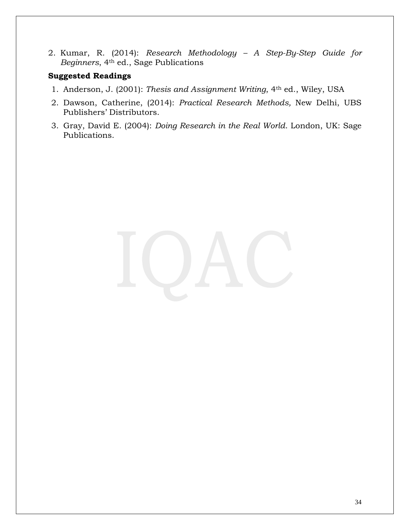2. Kumar, R. (2014): *Research Methodology – A Step-By-Step Guide for Beginners*, 4th ed., Sage Publications

- 1. Anderson, J. (2001): *Thesis and Assignment Writing*, 4th ed., Wiley, USA
- 2. Dawson, Catherine, (2014): *Practical Research Methods,* New Delhi, UBS Publishers' Distributors.
- 3. Gray, David E. (2004): *Doing Research in the Real World*. London, UK: Sage Publications.

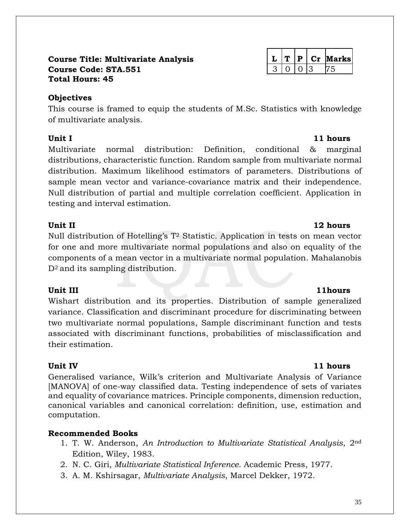### **Course Title: Multivariate Analysis L T P Cr Marks Course Code: STA.551** 3 0 0 3 75 **Total Hours: 45**

## **Objectives**

This course is framed to equip the students of M.Sc. Statistics with knowledge of multivariate analysis.

Multivariate normal distribution: Definition, conditional & marginal distributions, characteristic function. Random sample from multivariate normal distribution. Maximum likelihood estimators of parameters. Distributions of sample mean vector and variance-covariance matrix and their independence. Null distribution of partial and multiple correlation coefficient. Application in testing and interval estimation.

## **Unit II 12 hours**

Null distribution of Hotelling's T<sup>2</sup> Statistic. Application in tests on mean vector for one and more multivariate normal populations and also on equality of the components of a mean vector in a multivariate normal population. Mahalanobis  $D<sup>2</sup>$  and its sampling distribution.

Wishart distribution and its properties. Distribution of sample generalized variance. Classification and discriminant procedure for discriminating between two multivariate normal populations, Sample discriminant function and tests associated with discriminant functions, probabilities of misclassification and their estimation.

Generalised variance, Wilk's criterion and Multivariate Analysis of Variance [MANOVA] of one-way classified data. Testing independence of sets of variates and equality of covariance matrices. Principle components, dimension reduction, canonical variables and canonical correlation: definition, use, estimation and computation.

## **Recommended Books**

- 1. T. W. Anderson, *An Introduction to Multivariate Statistical Analysis*, 2nd Edition, Wiley, 1983.
- 2. N. C. Giri, *Multivariate Statistical Inference*. Academic Press, 1977.
- 3. A. M. Kshirsagar, *Multivariate Analysis*, Marcel Dekker, 1972.

## **Unit III** 11hours

## **Unit IV 11 hours**

## **Unit I** 11 hours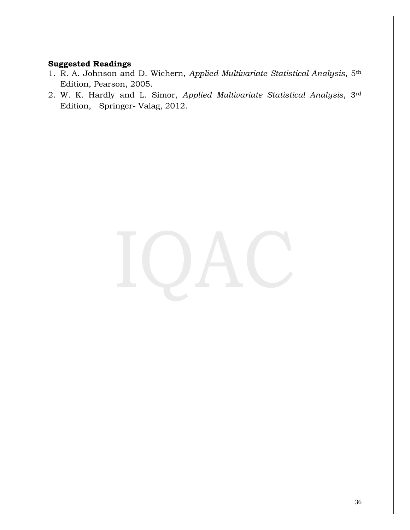- 1. R. A. Johnson and D. Wichern, *Applied Multivariate Statistical Analysis*, 5th Edition, Pearson, 2005.
- 2. W. K. Hardly and L. Simor, *Applied Multivariate Statistical Analysis*, 3rd Edition, Springer- Valag, 2012.

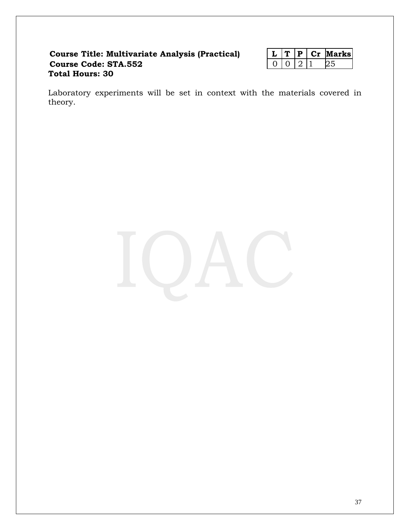### **Course Title: Multivariate Analysis (Practical) Course Code: STA.552 Total Hours: 30**

|  |  | arksı |
|--|--|-------|
|  |  |       |

Laboratory experiments will be set in context with the materials covered in theory.

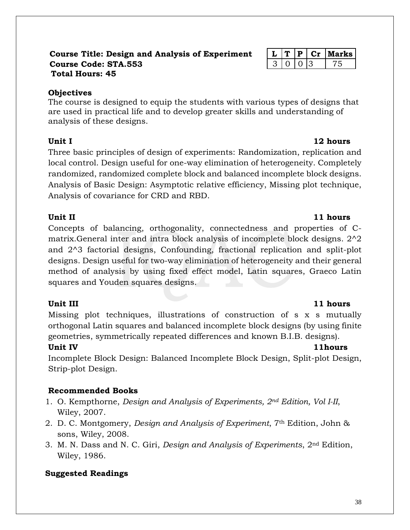### **Course Title: Design and Analysis of Experiment L T P Cr Marks Course Code: STA.553** 3 0 0 3 75 **Total Hours: 45**

## **Objectives**

The course is designed to equip the students with various types of designs that are used in practical life and to develop greater skills and understanding of analysis of these designs.

Three basic principles of design of experiments: Randomization, replication and local control. Design useful for one-way elimination of heterogeneity. Completely randomized, randomized complete block and balanced incomplete block designs. Analysis of Basic Design: Asymptotic relative efficiency, Missing plot technique, Analysis of covariance for CRD and RBD.

## **Unit II** 11 hours

Concepts of balancing, orthogonality, connectedness and properties of Cmatrix.General inter and intra block analysis of incomplete block designs. 2^2 and 2^3 factorial designs, Confounding, fractional replication and split-plot designs. Design useful for two-way elimination of heterogeneity and their general method of analysis by using fixed effect model, Latin squares, Graeco Latin squares and Youden squares designs.

Missing plot techniques, illustrations of construction of s x s mutually orthogonal Latin squares and balanced incomplete block designs (by using finite geometries, symmetrically repeated differences and known B.I.B. designs).

## **Unit IV 11hours**

Incomplete Block Design: Balanced Incomplete Block Design, Split-plot Design, Strip-plot Design.

## **Recommended Books**

- 1. O. Kempthorne, *Design and Analysis of Experiments, 2nd Edition, Vol I-II*, Wiley, 2007.
- 2. D. C. Montgomery, *Design and Analysis of Experiment*, 7th Edition, John & sons, Wiley, 2008.
- 3. M. N. Dass and N. C. Giri, *Design and Analysis of Experiments*, 2nd Edition, Wiley, 1986.

## **Suggested Readings**

## **Unit III** 11 hours

## **Unit I** 12 hours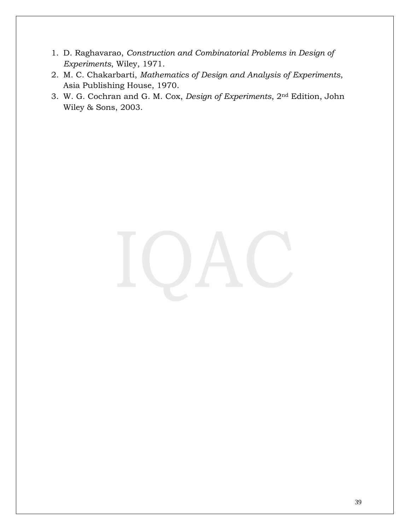- 1. D. Raghavarao, *Construction and Combinatorial Problems in Design of Experiments*, Wiley, 1971.
- 2. M. C. Chakarbarti, *Mathematics of Design and Analysis of Experiments*, Asia Publishing House, 1970.
- 3. W. G. Cochran and G. M. Cox, *Design of Experiments*, 2nd Edition, John Wiley & Sons, 2003.

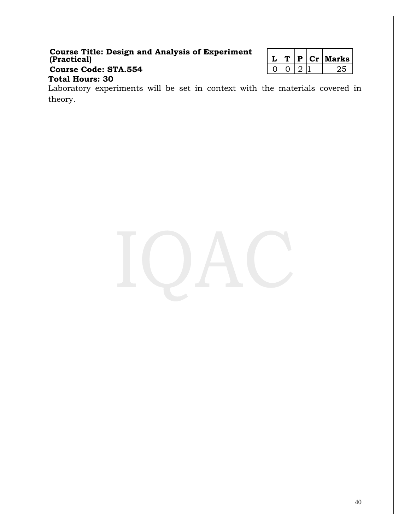### **Course Title: Design and Analysis of Experiment (Practical) L T P Cr Marks Course Code: STA.554**

|  | . р.        | 12 <sub>T</sub> | larks |
|--|-------------|-----------------|-------|
|  | $^{\prime}$ |                 |       |

## **Total Hours: 30**

Laboratory experiments will be set in context with the materials covered in theory.

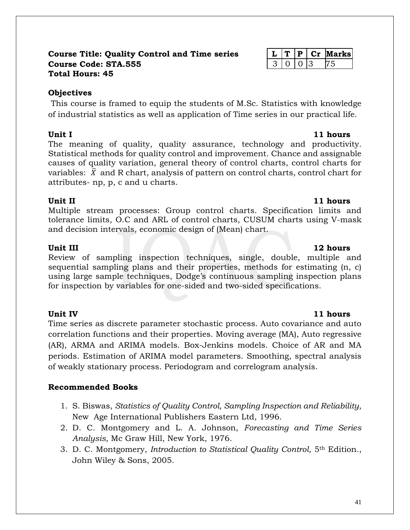### **Course Title: Quality Control and Time series L T P Cr Marks Course Code: STA.555** 3 0 3 3 75 **Total Hours: 45**

## **Objectives**

This course is framed to equip the students of M.Sc. Statistics with knowledge of industrial statistics as well as application of Time series in our practical life.

### **Unit I** 11 hours

The meaning of quality, quality assurance, technology and productivity. Statistical methods for quality control and improvement. Chance and assignable causes of quality variation, general theory of control charts, control charts for variables:  $\bar{X}$  and R chart, analysis of pattern on control charts, control chart for attributes- np, p, c and u charts.

## **Unit II** 11 hours

Multiple stream processes: Group control charts. Specification limits and tolerance limits, O.C and ARL of control charts, CUSUM charts using V-mask and decision intervals, economic design of (Mean) chart.

**Unit III** 12 hours Review of sampling inspection techniques, single, double, multiple and sequential sampling plans and their properties, methods for estimating (n, c) using large sample techniques, Dodge's continuous sampling inspection plans for inspection by variables for one-sided and two-sided specifications.

Time series as discrete parameter stochastic process. Auto covariance and auto correlation functions and their properties. Moving average (MA), Auto regressive (AR), ARMA and ARIMA models. Box-Jenkins models. Choice of AR and MA periods. Estimation of ARIMA model parameters. Smoothing, spectral analysis of weakly stationary process. Periodogram and correlogram analysis.

## **Recommended Books**

- 1. S. Biswas, *Statistics of Quality Control, Sampling Inspection and Reliability*, New Age International Publishers Eastern Ltd, 1996.
- 2. D. C. Montgomery and L. A. Johnson, *Forecasting and Time Series Analysis*, Mc Graw Hill, New York, 1976.
- 3. D. C. Montgomery, *Introduction to Statistical Quality Control*, 5th Edition., John Wiley & Sons, 2005.

## **Unit IV 11 hours**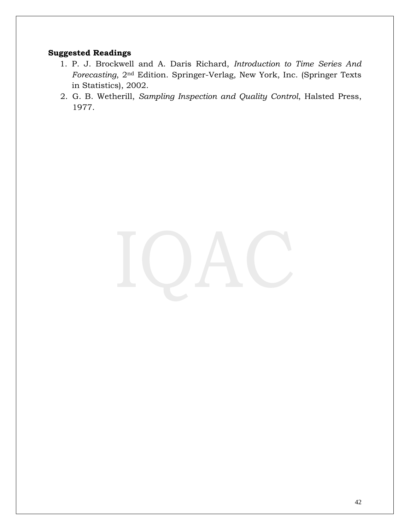- 1. P. J. Brockwell and A. Daris Richard, *Introduction to Time Series And Forecasting*, 2nd Edition. Springer-Verlag, New York, Inc. (Springer Texts in Statistics), 2002.
- 2. G. B. Wetherill, *Sampling Inspection and Quality Control*, Halsted Press, 1977.

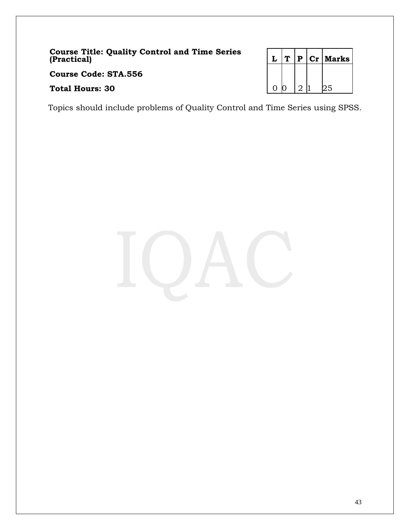**Course Title: Quality Control and Time Series (Practical) L T P Cr Marks**

**Course Code: STA.556**

**Total Hours: 30** 0 0 2 1 25

Topics should include problems of Quality Control and Time Series using SPSS.

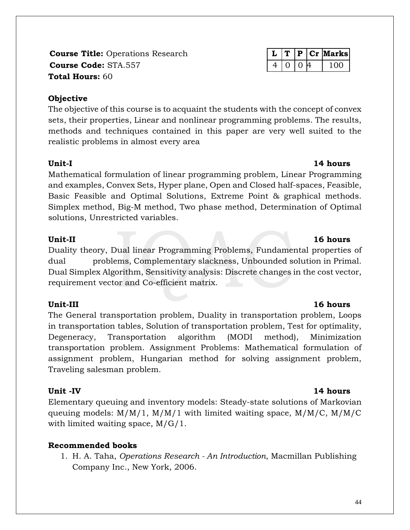**Course Title:** Operations Research **L T P Cr Marks Course Code:** STA.557 4 0 0 4 100 **Total Hours:** 60

## **Objective**

The objective of this course is to acquaint the students with the concept of convex sets, their properties, Linear and nonlinear programming problems. The results, methods and techniques contained in this paper are very well suited to the realistic problems in almost every area

## **Unit-I 14 hours**

Mathematical formulation of linear programming problem, Linear Programming and examples, Convex Sets, Hyper plane, Open and Closed half-spaces, Feasible, Basic Feasible and Optimal Solutions, Extreme Point & graphical methods. Simplex method, Big-M method, Two phase method, Determination of Optimal solutions, Unrestricted variables.

## **Unit-II** 16 hours

Duality theory, Dual linear Programming Problems, Fundamental properties of dual problems, Complementary slackness, Unbounded solution in Primal. Dual Simplex Algorithm, Sensitivity analysis: Discrete changes in the cost vector, requirement vector and Co-efficient matrix.

The General transportation problem, Duality in transportation problem, Loops in transportation tables, Solution of transportation problem, Test for optimality, Degeneracy, Transportation algorithm (MODI method), Minimization transportation problem. Assignment Problems: Mathematical formulation of assignment problem, Hungarian method for solving assignment problem, Traveling salesman problem.

Elementary queuing and inventory models: Steady-state solutions of Markovian queuing models:  $M/M/1$ ,  $M/M/1$  with limited waiting space,  $M/M/C$ ,  $M/M/C$ with limited waiting space, M/G/1.

## **Recommended books**

1. H. A. Taha, *Operations Research - An Introduction*, Macmillan Publishing Company Inc., New York, 2006.

## **Unit-III** 16 hours

### **Unit -IV 14 hours**

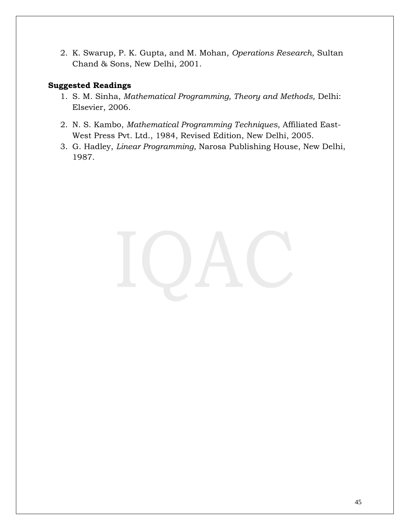2. K. Swarup, P. K. Gupta, and M. Mohan, *Operations Research*, Sultan Chand & Sons, New Delhi, 2001.

- 1. S. M. Sinha, *Mathematical Programming, Theory and Methods,* Delhi: Elsevier, 2006.
- 2. N. S. Kambo, *Mathematical Programming Techniques*, Affiliated East-West Press Pvt. Ltd., 1984, Revised Edition, New Delhi, 2005.
- 3. G. Hadley, *Linear Programming*, Narosa Publishing House, New Delhi, 1987.

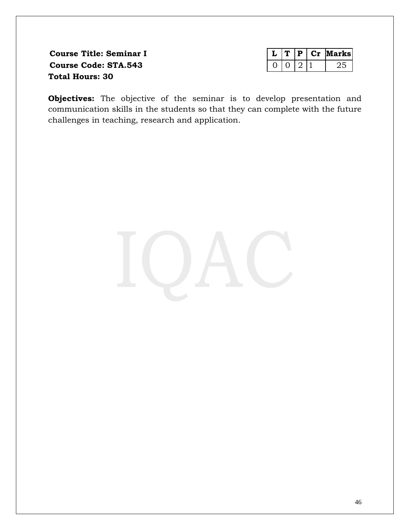**Course Title: Seminar I Course Code: STA.543 Total Hours: 30**

|  |  | larksl |
|--|--|--------|
|  |  |        |

**Objectives:** The objective of the seminar is to develop presentation and communication skills in the students so that they can complete with the future challenges in teaching, research and application.

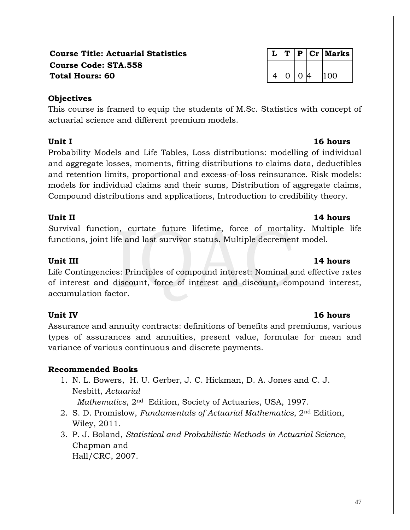## **Course Title: Actuarial Statistics L T P Cr Marks Course Code: STA.558 Total Hours: 60** 4 0 0 4 100

## **Objectives**

This course is framed to equip the students of M.Sc. Statistics with concept of actuarial science and different premium models.

Probability Models and Life Tables, Loss distributions: modelling of individual and aggregate losses, moments, fitting distributions to claims data, deductibles and retention limits, proportional and excess-of-loss reinsurance. Risk models: models for individual claims and their sums, Distribution of aggregate claims, Compound distributions and applications, Introduction to credibility theory.

Survival function, curtate future lifetime, force of mortality. Multiple life functions, joint life and last survivor status. Multiple decrement model.

## **Unit III 14 hours**

Life Contingencies: Principles of compound interest: Nominal and effective rates of interest and discount, force of interest and discount, compound interest, accumulation factor.

Assurance and annuity contracts: definitions of benefits and premiums, various types of assurances and annuities, present value, formulae for mean and variance of various continuous and discrete payments.

## **Recommended Books**

1. N. L. Bowers, H. U. Gerber, J. C. Hickman, D. A. Jones and C. J. Nesbitt, *Actuarial* 

 *Mathematics*, 2nd Edition, Society of Actuaries, USA, 1997.

- 2. S. D. Promislow, *Fundamentals of Actuarial Mathematics*, 2nd Edition, Wiley, 2011.
- 3. P. J. Boland, *Statistical and Probabilistic Methods in Actuarial Science*, Chapman and Hall/CRC, 2007.

## **Unit II** 14 hours

## **Unit IV 16 hours**

## **Unit I 16 hours**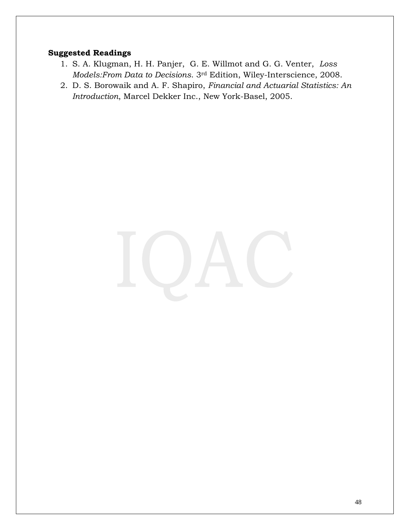- 1. S. A. Klugman, H. H. Panjer, G. E. Willmot and G. G. Venter, *Loss Models:From Data to Decisions*. 3rd Edition, Wiley-Interscience, 2008.
- 2. D. S. Borowaik and A. F. Shapiro, *Financial and Actuarial Statistics: An Introduction*, Marcel Dekker Inc., New York-Basel, 2005.

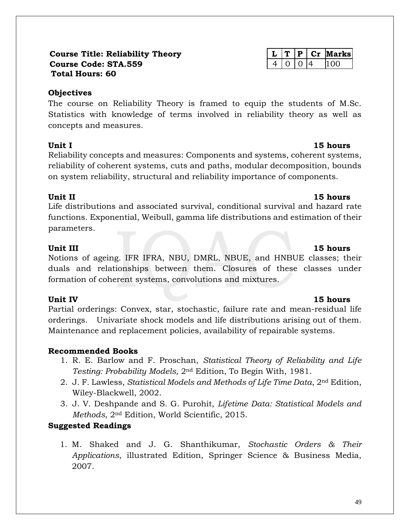### **Course Title: Reliability Theory L T P Cr Marks Course Code: STA.559** 4 10 10 4 100 **Total Hours: 60**

### **Objectives**

The course on Reliability Theory is framed to equip the students of M.Sc. Statistics with knowledge of terms involved in reliability theory as well as concepts and measures.

Reliability concepts and measures: Components and systems, coherent systems, reliability of coherent systems, cuts and paths, modular decomposition, bounds on system reliability, structural and reliability importance of components.

Life distributions and associated survival, conditional survival and hazard rate functions. Exponential, Weibull, gamma life distributions and estimation of their parameters.

## **Unit III** 15 hours

Notions of ageing. IFR IFRA, NBU, DMRL, NBUE, and HNBUE classes; their duals and relationships between them. Closures of these classes under formation of coherent systems, convolutions and mixtures.

## **Unit IV** 15 hours

Partial orderings: Convex, star, stochastic, failure rate and mean-residual life orderings. Univariate shock models and life distributions arising out of them. Maintenance and replacement policies, availability of repairable systems.

## **Recommended Books**

- 1. R. E. Barlow and F. Proschan, *Statistical Theory of Reliability and Life Testing: Probability Models,* 2nd Edition, To Begin With, 1981.
- 2. J. F. Lawless, *Statistical Models and Methods of Life Time Data*, 2nd Edition, Wiley-Blackwell, 2002.
- 3. J. V. Deshpande and S. G. Purohit, *Lifetime Data: Statistical Models and Methods*, 2nd Edition, World Scientific, 2015.

## **Suggested Readings**

1. M. Shaked and J. G. Shanthikumar, *Stochastic Orders & Their Applications*, illustrated Edition, Springer Science & Business Media, 2007.

## **Unit II** 15 hours

## **Unit I** 15 hours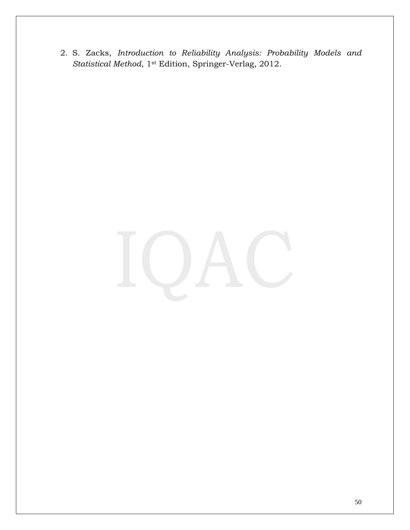2. S. Zacks, *Introduction to Reliability Analysis: Probability Models and Statistical Method*, 1st Edition, Springer-Verlag, 2012.

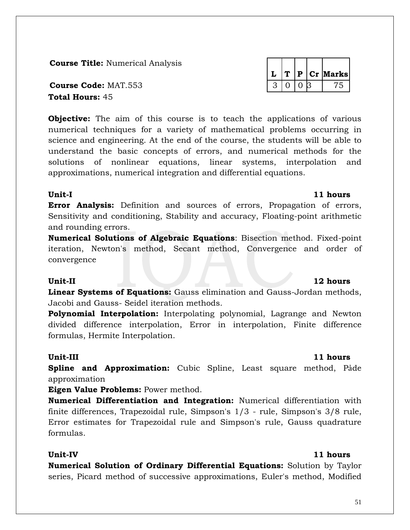**Course Title:** Numerical Analysis

**Course Code:** MAT.553 3 0 0 3 75 **Total Hours:** 45

**Objective:** The aim of this course is to teach the applications of various numerical techniques for a variety of mathematical problems occurring in science and engineering. At the end of the course, the students will be able to understand the basic concepts of errors, and numerical methods for the solutions of nonlinear equations, linear systems, interpolation and approximations, numerical integration and differential equations.

### **Unit-I 11 hours**

**Error Analysis:** Definition and sources of errors, Propagation of errors, Sensitivity and conditioning, Stability and accuracy, Floating-point arithmetic and rounding errors.

**Numerical Solutions of Algebraic Equations**: Bisection method. Fixed-point iteration, Newton's method, Secant method, Convergence and order of convergence

### Unit-II 12 hours

**Linear Systems of Equations:** Gauss elimination and Gauss-Jordan methods, Jacobi and Gauss- Seidel iteration methods.

**Polynomial Interpolation:** Interpolating polynomial, Lagrange and Newton divided difference interpolation, Error in interpolation, Finite difference formulas, Hermite Interpolation.

### **Unit-III** 11 hours

**Spline and Approximation:** Cubic Spline, Least square method, Pảde approximation

**Eigen Value Problems:** Power method.

**Numerical Differentiation and Integration:** Numerical differentiation with finite differences, Trapezoidal rule, Simpson's 1/3 - rule, Simpson's 3/8 rule, Error estimates for Trapezoidal rule and Simpson's rule, Gauss quadrature formulas.

### **Unit-IV 11 hours**

**Numerical Solution of Ordinary Differential Equations:** Solution by Taylor series, Picard method of successive approximations, Euler's method, Modified

# $L |T| P |Cr|$  Marks

### 51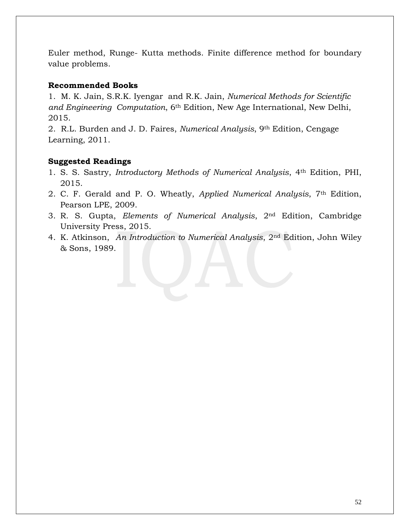Euler method, Runge- Kutta methods. Finite difference method for boundary value problems.

### **Recommended Books**

1. M. K. Jain, S.R.K. Iyengar and R.K. Jain, *Numerical Methods for Scientific and Engineering Computation*, 6th Edition, New Age International, New Delhi, 2015.

2. R.L. Burden and J. D. Faires, *Numerical Analysis*, 9th Edition, Cengage Learning, 2011.

- 1. S. S. Sastry, *Introductory Methods of Numerical Analysis*, 4th Edition, PHI, 2015.
- 2. C. F. Gerald and P. O. Wheatly, *Applied Numerical Analysis*, 7th Edition, Pearson LPE, 2009.
- 3. R. S. Gupta, *Elements of Numerical Analysis*, 2nd Edition, Cambridge University Press, 2015.
- 4. K. Atkinson, *An Introduction to Numerical Analysis*, 2nd Edition, John Wiley & Sons, 1989.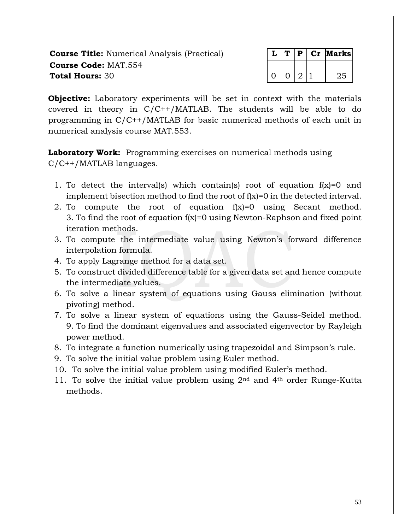**Course Title:** Numerical Analysis (Practical) **Course Code:** MAT.554 **Total Hours: 30** 

|  |  | انا | [arks] |
|--|--|-----|--------|
|  |  |     |        |
|  |  |     | ∶⊃ر∍   |

**Objective:** Laboratory experiments will be set in context with the materials covered in theory in C/C++/MATLAB. The students will be able to do programming in C/C++/MATLAB for basic numerical methods of each unit in numerical analysis course MAT.553.

Laboratory Work: Programming exercises on numerical methods using C/C++/MATLAB languages.

- 1. To detect the interval(s) which contain(s) root of equation  $f(x)=0$  and implement bisection method to find the root of f(x)=0 in the detected interval.
- 2. To compute the root of equation f(x)=0 using Secant method. 3. To find the root of equation  $f(x)=0$  using Newton-Raphson and fixed point iteration methods.
- 3. To compute the intermediate value using Newton's forward difference interpolation formula.
- 4. To apply Lagrange method for a data set.
- 5. To construct divided difference table for a given data set and hence compute the intermediate values.
- 6. To solve a linear system of equations using Gauss elimination (without pivoting) method.
- 7. To solve a linear system of equations using the Gauss-Seidel method. 9. To find the dominant eigenvalues and associated eigenvector by Rayleigh power method.
- 8. To integrate a function numerically using trapezoidal and Simpson's rule.
- 9. To solve the initial value problem using Euler method.
- 10. To solve the initial value problem using modified Euler's method.
- 11. To solve the initial value problem using  $2<sup>nd</sup>$  and  $4<sup>th</sup>$  order Runge-Kutta methods.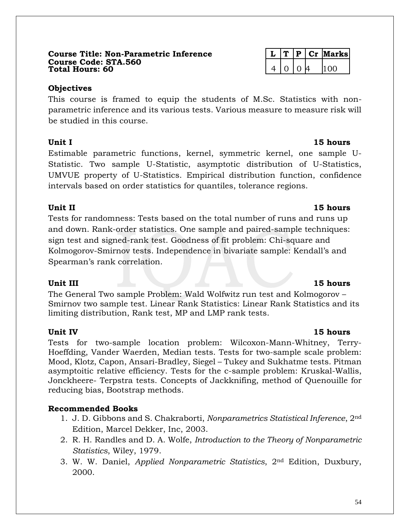### **Course Title: Non-Parametric Inference L T P Cr Marks Course Code: STA.560 Total Hours: 60** 4 0 0 4 100

## **Objectives**

This course is framed to equip the students of M.Sc. Statistics with nonparametric inference and its various tests. Various measure to measure risk will be studied in this course.

## **Unit I** 15 hours

Estimable parametric functions, kernel, symmetric kernel, one sample U-Statistic. Two sample U-Statistic, asymptotic distribution of U-Statistics, UMVUE property of U-Statistics. Empirical distribution function, confidence intervals based on order statistics for quantiles, tolerance regions.

## **Unit II** 15 hours

Tests for randomness: Tests based on the total number of runs and runs up and down. Rank-order statistics. One sample and paired-sample techniques: sign test and signed-rank test. Goodness of fit problem: Chi-square and Kolmogorov-Smirnov tests. Independence in bivariate sample: Kendall's and Spearman's rank correlation.

The General Two sample Problem: Wald Wolfwitz run test and Kolmogorov – Smirnov two sample test. Linear Rank Statistics: Linear Rank Statistics and its limiting distribution, Rank test, MP and LMP rank tests.

## **Unit IV 15 hours**

Tests for two-sample location problem: Wilcoxon-Mann-Whitney, Terry-Hoeffding, Vander Waerden, Median tests. Tests for two-sample scale problem: Mood, Klotz, Capon, Ansari-Bradley, Siegel – Tukey and Sukhatme tests. Pitman asymptoitic relative efficiency. Tests for the c-sample problem: Kruskal-Wallis, Jonckheere- Terpstra tests. Concepts of Jackknifing, method of Quenouille for reducing bias, Bootstrap methods.

## **Recommended Books**

- 1. J. D. Gibbons and S. Chakraborti, *Nonparametrics Statistical Inference*, 2nd Edition, Marcel Dekker, Inc, 2003.
- 2. R. H. Randles and D. A. Wolfe, *Introduction to the Theory of Nonparametric Statistics*, Wiley, 1979.
- 3. W. W. Daniel, *Applied Nonparametric Statistics*, 2nd Edition, Duxbury, 2000.

## **Unit III** 15 hours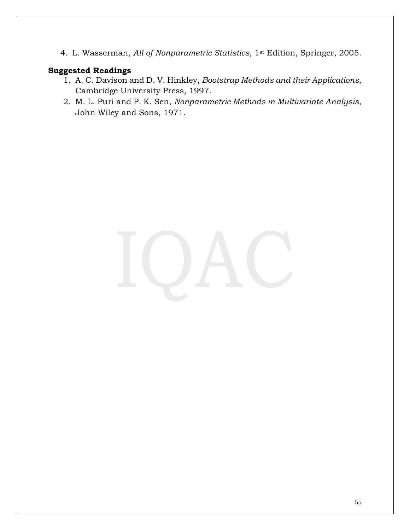4. L. Wasserman, *All of Nonparametric Statistics*, 1st Edition, Springer, 2005.

- 1. A. C. Davison and D. V. Hinkley, *Bootstrap Methods and their Applications*, Cambridge University Press, 1997.
- 2. M. L. Puri and P. K. Sen, *Nonparametric Methods in Multivariate Analysis*, John Wiley and Sons, 1971.

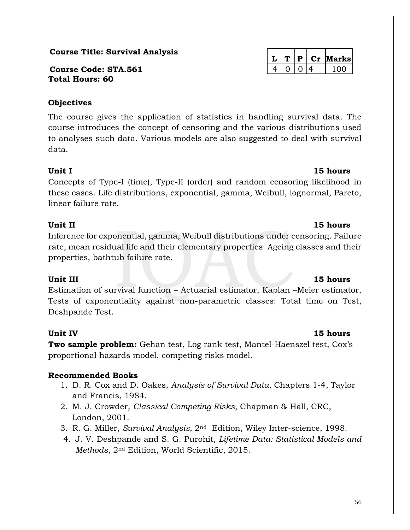### **Course Title: Survival Analysis**

**Course Code: STA.561** 4 0 0 4 100 **Total Hours: 60**

## **Objectives**

The course gives the application of statistics in handling survival data. The course introduces the concept of censoring and the various distributions used to analyses such data. Various models are also suggested to deal with survival data.

### **Unit I** 15 hours

Concepts of Type-I (time), Type-II (order) and random censoring likelihood in these cases. Life distributions, exponential, gamma, Weibull, lognormal, Pareto, linear failure rate.

Inference for exponential, gamma, Weibull distributions under censoring. Failure rate, mean residual life and their elementary properties. Ageing classes and their properties, bathtub failure rate.

Estimation of survival function – Actuarial estimator, Kaplan –Meier estimator, Tests of exponentiality against non-parametric classes: Total time on Test, Deshpande Test.

## **Unit IV 15 hours**

**Two sample problem:** Gehan test, Log rank test, Mantel-Haenszel test, Cox's proportional hazards model, competing risks model.

## **Recommended Books**

- 1. D. R. Cox and D. Oakes, *Analysis of Survival Data*, Chapters 1-4, Taylor and Francis, 1984.
- 2. M. J. Crowder, *Classical Competing Risks*, Chapman & Hall, CRC, London, 2001.
- 3. R. G. Miller, *Survival Analysis*, 2nd Edition, Wiley Inter-science, 1998.
- 4. J. V. Deshpande and S. G. Purohit, *Lifetime Data: Statistical Models and Methods*, 2nd Edition, World Scientific, 2015.

## **L T P Cr Marks**

## **Unit III 15 hours**

## **Unit II 15 hours**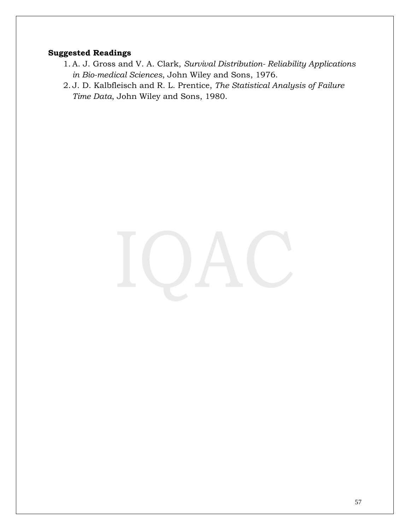- 1. A. J. Gross and V. A. Clark, *Survival Distribution- Reliability Applications in Bio-medical Sciences*, John Wiley and Sons, 1976.
- 2. J. D. Kalbfleisch and R. L. Prentice, *The Statistical Analysis of Failure Time Data*, John Wiley and Sons, 1980.

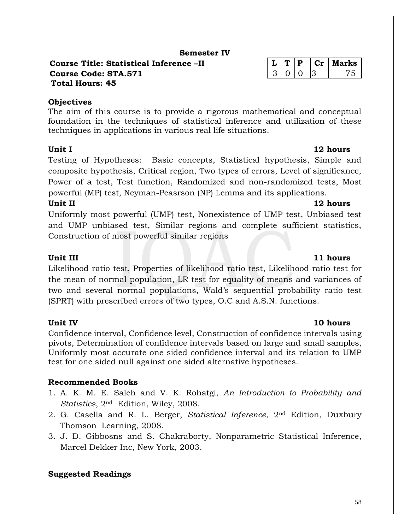## **Semester IV**

### **Course Title: Statistical Inference –II L T P Cr Marks Course Code: STA.571** 3 0 0 3 75 **Total Hours: 45**

## **Objectives**

The aim of this course is to provide a rigorous mathematical and conceptual foundation in the techniques of statistical inference and utilization of these techniques in applications in various real life situations.

Testing of Hypotheses: Basic concepts, Statistical hypothesis, Simple and composite hypothesis, Critical region, Two types of errors, Level of significance, Power of a test, Test function, Randomized and non-randomized tests, Most powerful (MP) test, Neyman-Peasrson (NP) Lemma and its applications.

## **Unit II** 12 hours

Uniformly most powerful (UMP) test, Nonexistence of UMP test, Unbiased test and UMP unbiased test, Similar regions and complete sufficient statistics, Construction of most powerful similar regions

## **Unit III** 11 hours

Likelihood ratio test, Properties of likelihood ratio test, Likelihood ratio test for the mean of normal population, LR test for equality of means and variances of two and several normal populations, Wald's sequential probability ratio test (SPRT) with prescribed errors of two types, O.C and A.S.N. functions.

Confidence interval, Confidence level, Construction of confidence intervals using pivots, Determination of confidence intervals based on large and small samples, Uniformly most accurate one sided confidence interval and its relation to UMP test for one sided null against one sided alternative hypotheses.

## **Recommended Books**

- 1. A. K. M. E. Saleh and V. K. Rohatgi, *An Introduction to Probability and Statistics*, 2nd Edition, Wiley, 2008.
- 2. G. Casella and R. L. Berger, *Statistical Inference*, 2nd Edition, Duxbury Thomson Learning, 2008.
- 3. J. D. Gibbosns and S. Chakraborty, Nonparametric Statistical Inference, Marcel Dekker Inc, New York, 2003.

## **Suggested Readings**

## **Unit IV 10 hours**

## **Unit I** 12 hours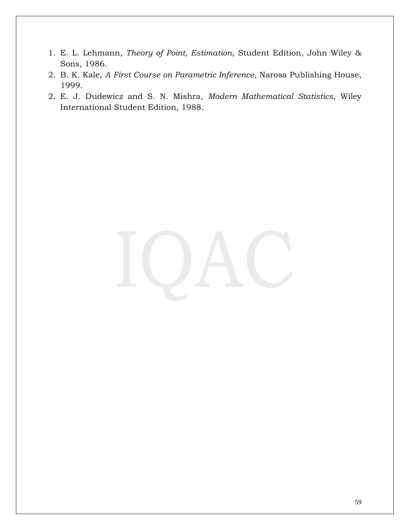- 1. E. L. Lehmann, *Theory of Point, Estimation*, Student Edition, John Wiley & Sons, 1986.
- 2. B. K. Kale, *A First Course on Parametric Inference*, Narosa Publishing House, 1999.
- 2. E. J. Dudewicz and S. N. Mishra, *Modern Mathematical Statistics*, Wiley International Student Edition, 1988.

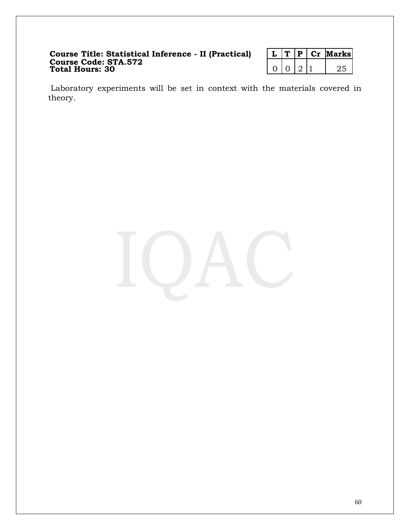### **Course Title: Statistical Inference - II (Practical) L T P Cr Marks Course Code: STA.572 Total Hours: 30** 0 0 2 2 25

|  |  | larksı |
|--|--|--------|
|  |  |        |

Laboratory experiments will be set in context with the materials covered in theory.

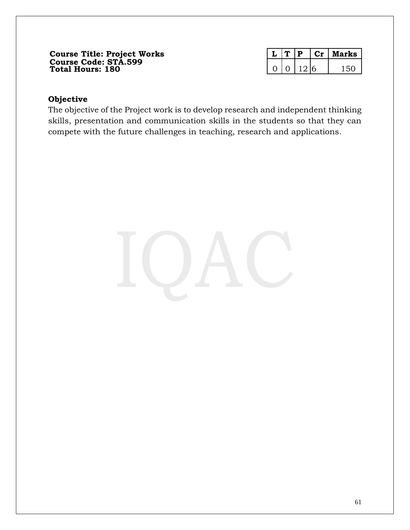### **Course Title: Project Works L T P Cr Marks Course Code: STA.599 Total Hours: 180** 0 0 12 6 150

|  |      | arks |
|--|------|------|
|  | , יו |      |

### **Objective**

The objective of the Project work is to develop research and independent thinking skills, presentation and communication skills in the students so that they can compete with the future challenges in teaching, research and applications.

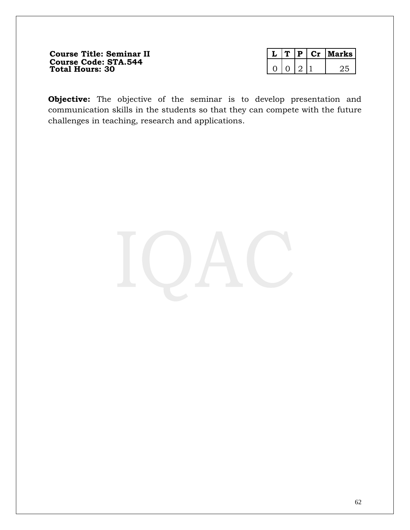**Course Title: Seminar II Course Code: STA.544 Total Hours: 30** 0 0 2 1 25

|  |  | larks |
|--|--|-------|
|  |  |       |

**Objective:** The objective of the seminar is to develop presentation and communication skills in the students so that they can compete with the future challenges in teaching, research and applications.

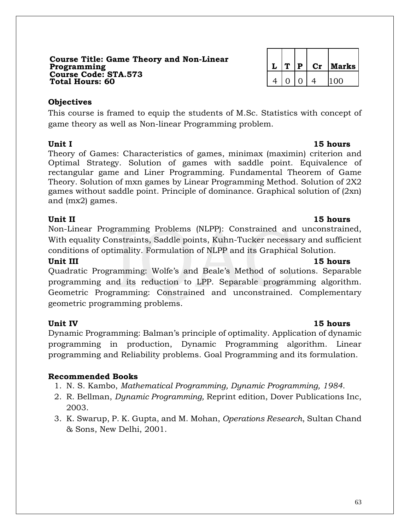### **Course Title: Game Theory and Non-Linear Programming L T P Cr Marks Course Code: STA.573 Total Hours: 60**

### **Objectives**

This course is framed to equip the students of M.Sc. Statistics with concept of game theory as well as Non-linear Programming problem.

Theory of Games: Characteristics of games, minimax (maximin) criterion and Optimal Strategy. Solution of games with saddle point. Equivalence of rectangular game and Liner Programming. Fundamental Theorem of Game Theory. Solution of mxn games by Linear Programming Method. Solution of 2X2 games without saddle point. Principle of dominance. Graphical solution of (2xn) and (mx2) games.

## **Unit II** 15 hours

Non-Linear Programming Problems (NLPP): Constrained and unconstrained, With equality Constraints, Saddle points, Kuhn-Tucker necessary and sufficient conditions of optimality. Formulation of NLPP and its Graphical Solution.

### **Unit III** 15 hours

Quadratic Programming: Wolfe's and Beale's Method of solutions. Separable programming and its reduction to LPP. Separable programming algorithm. Geometric Programming: Constrained and unconstrained. Complementary geometric programming problems.

## **Unit IV 15 hours**

Dynamic Programming: Balman's principle of optimality. Application of dynamic programming in production, Dynamic Programming algorithm. Linear programming and Reliability problems. Goal Programming and its formulation.

## **Recommended Books**

- 1. N. S. Kambo, *Mathematical Programming, Dynamic Programming, 1984*.
- 2. R. Bellman, *Dynamic Programming,* Reprint edition, Dover Publications Inc, 2003.
- 3. K. Swarup, P. K. Gupta, and M. Mohan, *Operations Research*, Sultan Chand & Sons, New Delhi, 2001.

### **Unit I 15 hours**

|   | Р        | $\mathbf{C}\mathbf{r}$ | Marks |
|---|----------|------------------------|-------|
| 0 | $\Omega$ |                        | 100   |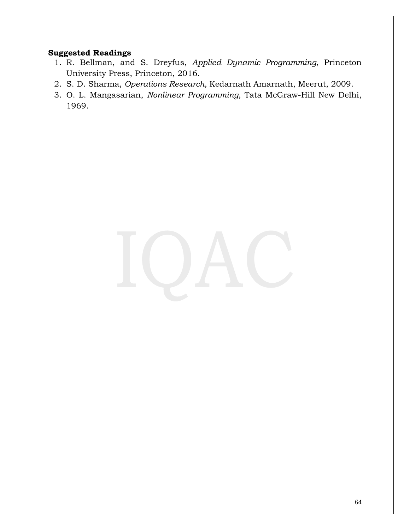- 1. R. Bellman, and S. Dreyfus, *Applied Dynamic Programming*, Princeton University Press, Princeton, 2016.
- 2. S. D. Sharma, *Operations Research,* Kedarnath Amarnath, Meerut, 2009.
- 3. O. L. Mangasarian, *Nonlinear Programming*, Tata McGraw-Hill New Delhi, 1969.

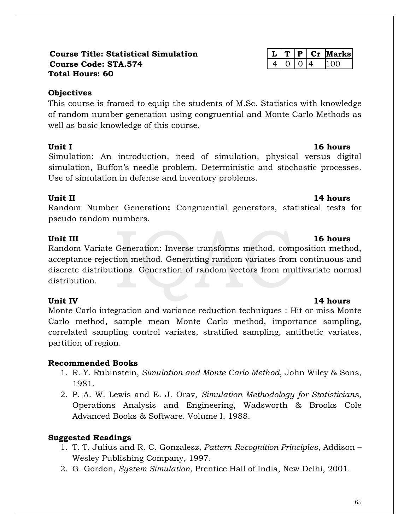### **Course Title: Statistical Simulation L T P Cr Marks Course Code: STA.574** 4 0 0 4 100 **Total Hours: 60**

### **Objectives**

This course is framed to equip the students of M.Sc. Statistics with knowledge of random number generation using congruential and Monte Carlo Methods as well as basic knowledge of this course.

Simulation: An introduction, need of simulation, physical versus digital simulation, Buffon's needle problem. Deterministic and stochastic processes. Use of simulation in defense and inventory problems.

## **Unit II 14 hours**

Random Number Generation**:** Congruential generators, statistical tests for pseudo random numbers.

Random Variate Generation: Inverse transforms method, composition method, acceptance rejection method. Generating random variates from continuous and discrete distributions. Generation of random vectors from multivariate normal distribution.

## **Unit IV** 14 hours

Monte Carlo integration and variance reduction techniques : Hit or miss Monte Carlo method, sample mean Monte Carlo method, importance sampling, correlated sampling control variates, stratified sampling, antithetic variates, partition of region.

## **Recommended Books**

- 1. R. Y. Rubinstein, *Simulation and Monte Carlo Method*, John Wiley & Sons, 1981.
- 2. P. A. W. Lewis and E. J. Orav, *Simulation Methodology for Statisticians*, Operations Analysis and Engineering, Wadsworth & Brooks Cole Advanced Books & Software. Volume I, 1988.

## **Suggested Readings**

- 1. T. T. Julius and R. C. Gonzalesz, *Pattern Recognition Principles*, Addison Wesley Publishing Company, 1997.
- 2. G. Gordon, *System Simulation*, Prentice Hall of India, New Delhi, 2001.

## **Unit I** 16 hours

### **Unit III** 16 hours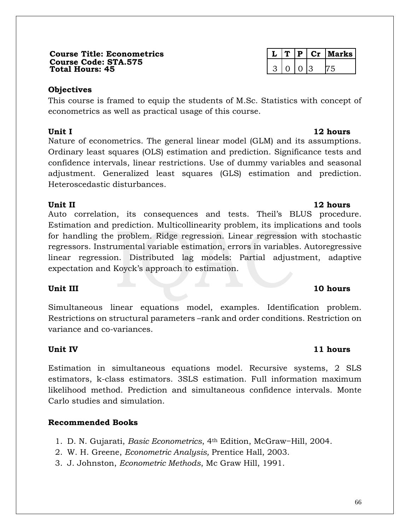### **Course Title: Econometrics L T P Cr Marks Course Code: STA.575 Total Hours: 45** 3 0 0 3 75

## **Objectives**

This course is framed to equip the students of M.Sc. Statistics with concept of econometrics as well as practical usage of this course.

Nature of econometrics. The general linear model (GLM) and its assumptions. Ordinary least squares (OLS) estimation and prediction. Significance tests and confidence intervals, linear restrictions. Use of dummy variables and seasonal adjustment. Generalized least squares (GLS) estimation and prediction. Heteroscedastic disturbances.

Auto correlation, its consequences and tests. Theil's BLUS procedure. Estimation and prediction. Multicollinearity problem, its implications and tools for handling the problem. Ridge regression. Linear regression with stochastic regressors. Instrumental variable estimation, errors in variables. Autoregressive linear regression. Distributed lag models: Partial adjustment, adaptive expectation and Koyck's approach to estimation.

## **Unit III** 10 hours

Simultaneous linear equations model, examples. Identification problem. Restrictions on structural parameters –rank and order conditions. Restriction on variance and co-variances.

## **Unit IV** 11 hours

Estimation in simultaneous equations model. Recursive systems, 2 SLS estimators, k-class estimators. 3SLS estimation. Full information maximum likelihood method. Prediction and simultaneous confidence intervals. Monte Carlo studies and simulation.

## **Recommended Books**

- 1. D. N. Gujarati, *Basic Econometrics*, 4th Edition, McGraw−Hill, 2004.
- 2. W. H. Greene, *Econometric Analysis,* Prentice Hall, 2003.
- 3. J. Johnston, *Econometric Methods*, Mc Graw Hill, 1991.

## **Unit II** 12 hours

## **Unit I** 12 hours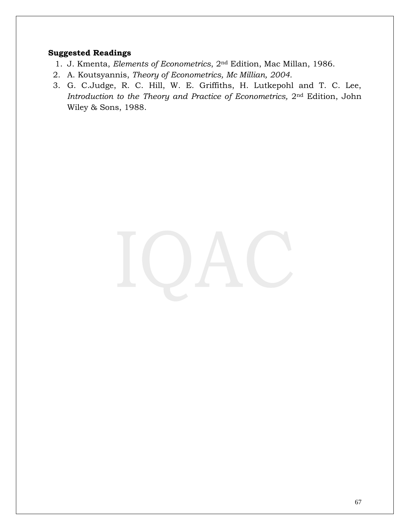- 1. J. Kmenta, *Elements of Econometrics*, 2nd Edition, Mac Millan, 1986.
- 2. A. Koutsyannis, *Theory of Econometrics, Mc Millian, 2004.*
- 3. G. C.Judge, R. C. Hill, W. E. Griffiths, H. Lutkepohl and T. C. Lee, *Introduction to the Theory and Practice of Econometrics,* 2nd Edition, John Wiley & Sons, 1988.

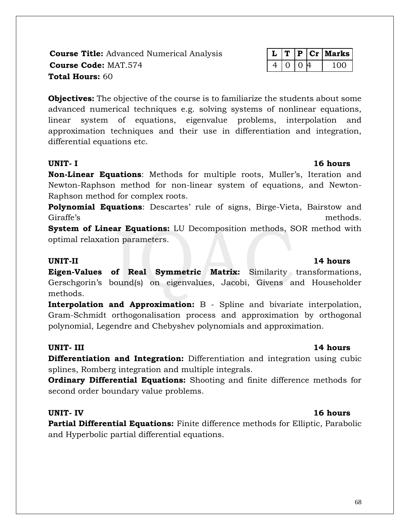**Course Title:** Advanced Numerical Analysis

|  |  | larks I |
|--|--|---------|
|  |  |         |

**Objectives:** The objective of the course is to familiarize the students about some advanced numerical techniques e.g. solving systems of nonlinear equations, linear system of equations, eigenvalue problems, interpolation and approximation techniques and their use in differentiation and integration, differential equations etc.

### **UNIT- I 16 hours**

**Non-Linear Equations**: Methods for multiple roots, Muller's, Iteration and Newton-Raphson method for non-linear system of equations, and Newton-Raphson method for complex roots.

**Polynomial Equations**: Descartes' rule of signs, Birge-Vieta, Bairstow and Giraffe's methods.

**System of Linear Equations:** LU Decomposition methods, SOR method with optimal relaxation parameters.

**Eigen-Values of Real Symmetric Matrix:** Similarity transformations, Gerschgorin's bound(s) on eigenvalues, Jacobi, Givens and Householder methods.

**Interpolation and Approximation:** B - Spline and bivariate interpolation, Gram-Schmidt orthogonalisation process and approximation by orthogonal polynomial, Legendre and Chebyshev polynomials and approximation.

### **UNIT- III 14 hours**

**Differentiation and Integration:** Differentiation and integration using cubic splines, Romberg integration and multiple integrals.

**Ordinary Differential Equations:** Shooting and finite difference methods for second order boundary value problems.

**Partial Differential Equations:** Finite difference methods for Elliptic, Parabolic and Hyperbolic partial differential equations.

### **UNIT-II 14 hours**

### **UNIT- IV 16 hours**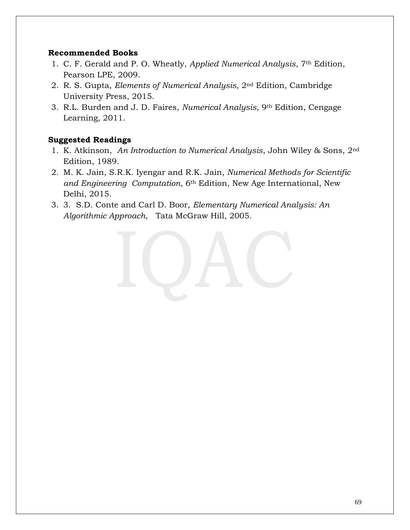### **Recommended Books**

- 1. C. F. Gerald and P. O. Wheatly, *Applied Numerical Analysis*, 7th Edition, Pearson LPE, 2009.
- 2. R. S. Gupta, *Elements of Numerical Analysis*, 2nd Edition, Cambridge University Press, 2015.
- 3. R.L. Burden and J. D. Faires, *Numerical Analysis*, 9th Edition, Cengage Learning, 2011.

- 1. K. Atkinson, *An Introduction to Numerical Analysis*, John Wiley & Sons, 2nd Edition, 1989.
- 2. M. K. Jain, S.R.K. Iyengar and R.K. Jain, *Numerical Methods for Scientific and Engineering Computation*, 6th Edition, New Age International, New Delhi, 2015.
- 3. 3. S.D. Conte and Carl D. Boor, *Elementary Numerical Analysis: An Algorithmic Approach*, Tata McGraw Hill, 2005.

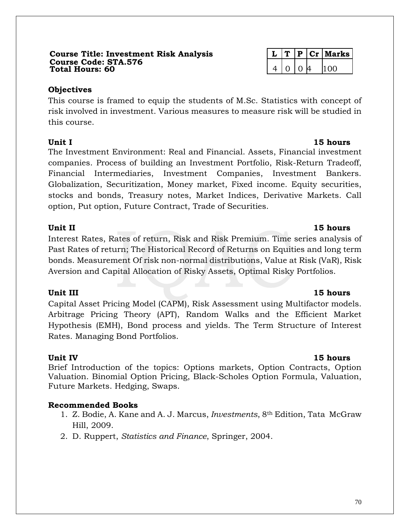### **Course Title: Investment Risk Analysis L T P Cr Marks Course Code: STA.576 Total Hours: 60** 4 0 0 4 100

## **Objectives**

This course is framed to equip the students of M.Sc. Statistics with concept of risk involved in investment. Various measures to measure risk will be studied in this course.

**Unit I** 15 hours The Investment Environment: Real and Financial. Assets, Financial investment companies. Process of building an Investment Portfolio, Risk-Return Tradeoff, Financial Intermediaries, Investment Companies, Investment Bankers. Globalization, Securitization, Money market, Fixed income. Equity securities, stocks and bonds, Treasury notes, Market Indices, Derivative Markets. Call option, Put option, Future Contract, Trade of Securities.

### **Unit II 15 hours**

Interest Rates, Rates of return, Risk and Risk Premium. Time series analysis of Past Rates of return; The Historical Record of Returns on Equities and long term bonds. Measurement Of risk non-normal distributions, Value at Risk (VaR), Risk Aversion and Capital Allocation of Risky Assets, Optimal Risky Portfolios.

Capital Asset Pricing Model (CAPM), Risk Assessment using Multifactor models. Arbitrage Pricing Theory (APT), Random Walks and the Efficient Market Hypothesis (EMH), Bond process and yields. The Term Structure of Interest Rates. Managing Bond Portfolios.

**Unit IV 15 hours** Brief Introduction of the topics: Options markets, Option Contracts, Option Valuation. Binomial Option Pricing, Black-Scholes Option Formula, Valuation, Future Markets. Hedging, Swaps.

## **Recommended Books**

- 1. Z. Bodie, A. Kane and A. J. Marcus, *Investments*, 8th Edition, Tata McGraw Hill, 2009.
- 2. D. Ruppert, *Statistics and Finance*, Springer, 2004.

## **Unit III** 15 **hours**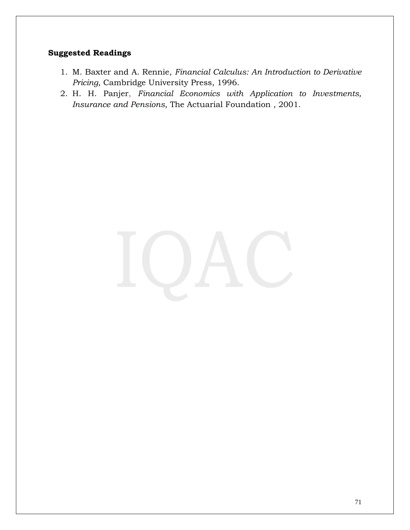- 1. M. Baxter and A. Rennie, *Financial Calculus: An Introduction to Derivative Pricing*, Cambridge University Press, 1996.
- 2. H. H. Panjer, *Financial Economics with Application to Investments, Insurance and Pensions*, The Actuarial Foundation , 2001.

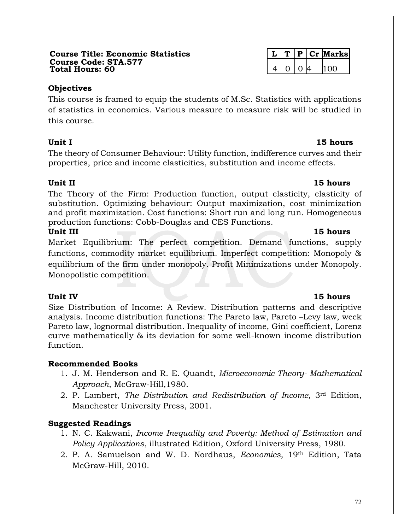### **Course Title: Economic Statistics L T P Cr Marks Course Code: STA.577 Total Hours: 60** 4 0 0 4 100

### **Objectives**

This course is framed to equip the students of M.Sc. Statistics with applications of statistics in economics. Various measure to measure risk will be studied in this course.

The theory of Consumer Behaviour: Utility function, indifference curves and their properties, price and income elasticities, substitution and income effects.

## **Unit II 15 hours**

The Theory of the Firm: Production function, output elasticity, elasticity of substitution. Optimizing behaviour: Output maximization, cost minimization and profit maximization. Cost functions: Short run and long run. Homogeneous production functions: Cobb-Douglas and CES Functions.

### **Unit III 15 hours**

Market Equilibrium: The perfect competition. Demand functions, supply functions, commodity market equilibrium. Imperfect competition: Monopoly & equilibrium of the firm under monopoly. Profit Minimizations under Monopoly. Monopolistic competition.

Size Distribution of Income: A Review. Distribution patterns and descriptive analysis. Income distribution functions: The Pareto law, Pareto –Levy law, week Pareto law, lognormal distribution. Inequality of income, Gini coefficient, Lorenz curve mathematically & its deviation for some well-known income distribution function.

## **Recommended Books**

- 1. J. M. Henderson and R. E. Quandt, *Microeconomic Theory- Mathematical Approach*, McGraw-Hill,1980.
- 2. P. Lambert, *The Distribution and Redistribution of Income,* 3rd Edition, Manchester University Press, 2001.

# **Suggested Readings**

- 1. N. C. Kakwani, *Income Inequality and Poverty: Method of Estimation and Policy Applications*, illustrated Edition, Oxford University Press, 1980.
- 2. P. A. Samuelson and W. D. Nordhaus, *Economics*, 19th Edition, Tata McGraw-Hill, 2010.

## **Unit IV 15 hours**

## **Unit I 15 hours**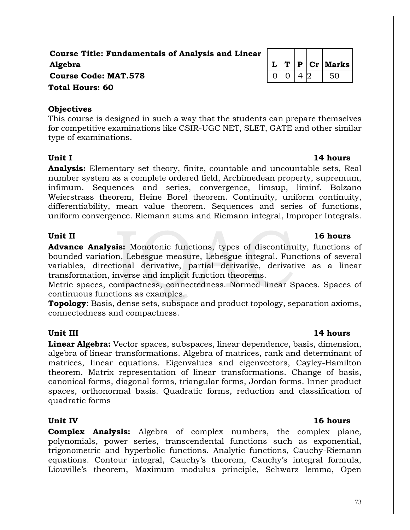## **Course Title: Fundamentals of Analysis and Linear Algebra L T P Cr Marks Course Code: MAT.578** 0 0 4 2 50 **Total Hours: 60**

### **Objectives**

This course is designed in such a way that the students can prepare themselves for competitive examinations like CSIR-UGC NET, SLET, GATE and other similar type of examinations.

**Analysis:** Elementary set theory, finite, countable and uncountable sets, Real number system as a complete ordered field, Archimedean property, supremum, infimum. Sequences and series, convergence, limsup, liminf. Bolzano Weierstrass theorem, Heine Borel theorem. Continuity, uniform continuity, differentiability, mean value theorem. Sequences and series of functions, uniform convergence. Riemann sums and Riemann integral, Improper Integrals.

**Advance Analysis:** Monotonic functions, types of discontinuity, functions of bounded variation, Lebesgue measure, Lebesgue integral. Functions of several variables, directional derivative, partial derivative, derivative as a linear transformation, inverse and implicit function theorems.

Metric spaces, compactness, connectedness. Normed linear Spaces. Spaces of continuous functions as examples.

**Topology**: Basis, dense sets, subspace and product topology, separation axioms, connectedness and compactness.

### **Unit III** 14 hours

**Linear Algebra:** Vector spaces, subspaces, linear dependence, basis, dimension, algebra of linear transformations. Algebra of matrices, rank and determinant of matrices, linear equations. Eigenvalues and eigenvectors, Cayley-Hamilton theorem. Matrix representation of linear transformations. Change of basis, canonical forms, diagonal forms, triangular forms, Jordan forms. Inner product spaces, orthonormal basis. Quadratic forms, reduction and classification of quadratic forms

### **Unit IV 16 hours**

**Complex Analysis:** Algebra of complex numbers, the complex plane, polynomials, power series, transcendental functions such as exponential, trigonometric and hyperbolic functions. Analytic functions, Cauchy-Riemann equations. Contour integral, Cauchy's theorem, Cauchy's integral formula, Liouville's theorem, Maximum modulus principle, Schwarz lemma, Open

## **Unit II** 16 hours

# **Unit I** 14 hours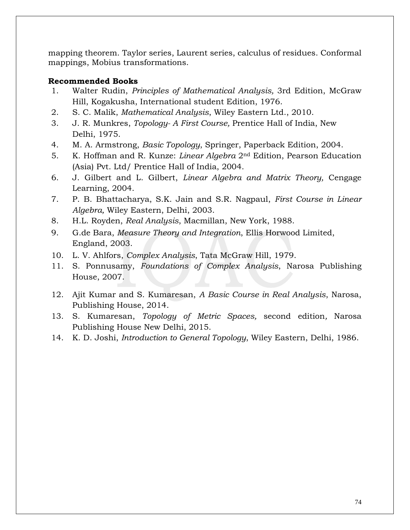mapping theorem. Taylor series, Laurent series, calculus of residues. Conformal mappings, Mobius transformations.

### **Recommended Books**

- 1. Walter Rudin, *Principles of Mathematical Analysis,* 3rd Edition, McGraw Hill, Kogakusha, International student Edition, 1976.
- 2. S. C. Malik, *Mathematical Analysis*, Wiley Eastern Ltd., 2010.
- 3. J. R. Munkres, *Topology- A First Course,* Prentice Hall of India, New Delhi, 1975.
- 4. M. A. Armstrong, *Basic Topology*, Springer, Paperback Edition, 2004.
- 5. K. Hoffman and R. Kunze: *Linear Algebra* 2nd Edition, Pearson Education (Asia) Pvt. Ltd/ Prentice Hall of India, 2004.
- 6. J. Gilbert and L. Gilbert, *Linear Algebra and Matrix Theory,* Cengage Learning, 2004.
- 7. P. B. Bhattacharya, S.K. Jain and S.R. Nagpaul, *First Course in Linear Algebra,* Wiley Eastern, Delhi, 2003.
- 8. H.L. Royden, *Real Analysis*, Macmillan, New York, 1988.
- 9. G.de Bara, *Measure Theory and Integration*, Ellis Horwood Limited, England, 2003.
- 10. L. V. Ahlfors, *Complex Analysis*, Tata McGraw Hill, 1979.
- 11. S. Ponnusamy, *Foundations of Complex Analysis*, Narosa Publishing House, 2007.
- 12. Ajit Kumar and S. Kumaresan, *A Basic Course in Real Analysis*, Narosa, Publishing House, 2014.
- 13. S. Kumaresan, *Topology of Metric Spaces,* second edition*,* Narosa Publishing House New Delhi, 2015.
- 14. K. D. Joshi, *Introduction to General Topology*, Wiley Eastern, Delhi, 1986.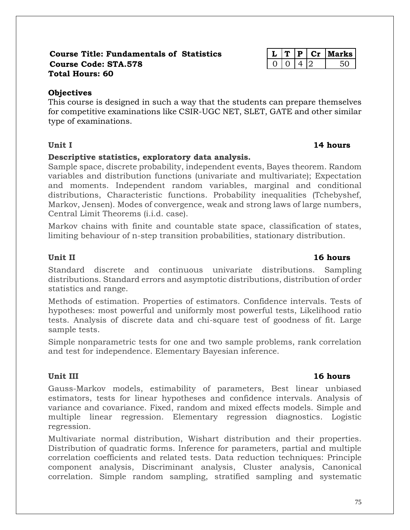### **Course Title: Fundamentals of Statistics L T P Cr Marks Course Code: STA.578** 0 0 4 2 50 **Total Hours: 60**

# **Objectives**

This course is designed in such a way that the students can prepare themselves for competitive examinations like CSIR-UGC NET, SLET, GATE and other similar type of examinations.

# **Descriptive statistics, exploratory data analysis.**

Sample space, discrete probability, independent events, Bayes theorem. Random variables and distribution functions (univariate and multivariate); Expectation and moments. Independent random variables, marginal and conditional distributions, Characteristic functions. Probability inequalities (Tchebyshef, Markov, Jensen). Modes of convergence, weak and strong laws of large numbers, Central Limit Theorems (i.i.d. case).

Markov chains with finite and countable state space, classification of states, limiting behaviour of n-step transition probabilities, stationary distribution.

# **Unit II 16 hours**

Standard discrete and continuous univariate distributions. Sampling distributions. Standard errors and asymptotic distributions, distribution of order statistics and range.

Methods of estimation. Properties of estimators. Confidence intervals. Tests of hypotheses: most powerful and uniformly most powerful tests, Likelihood ratio tests. Analysis of discrete data and chi-square test of goodness of fit. Large sample tests.

Simple nonparametric tests for one and two sample problems, rank correlation and test for independence. Elementary Bayesian inference.

# **Unit III 16 hours**

Gauss-Markov models, estimability of parameters, Best linear unbiased estimators, tests for linear hypotheses and confidence intervals. Analysis of variance and covariance. Fixed, random and mixed effects models. Simple and multiple linear regression. Elementary regression diagnostics. Logistic regression.

Multivariate normal distribution, Wishart distribution and their properties. Distribution of quadratic forms. Inference for parameters, partial and multiple correlation coefficients and related tests. Data reduction techniques: Principle component analysis, Discriminant analysis, Cluster analysis, Canonical correlation. Simple random sampling, stratified sampling and systematic

### **Unit I 14 hours**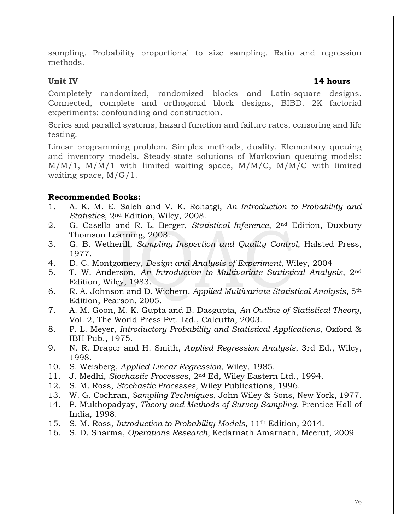sampling. Probability proportional to size sampling. Ratio and regression methods.

### **Unit IV 14 hours**

Completely randomized, randomized blocks and Latin-square designs. Connected, complete and orthogonal block designs, BIBD. 2K factorial experiments: confounding and construction.

Series and parallel systems, hazard function and failure rates, censoring and life testing.

Linear programming problem. Simplex methods, duality. Elementary queuing and inventory models. Steady-state solutions of Markovian queuing models: M/M/1, M/M/1 with limited waiting space, M/M/C, M/M/C with limited waiting space, M/G/1.

### **Recommended Books:**

- 1. A. K. M. E. Saleh and V. K. Rohatgi, *An Introduction to Probability and Statistics*, 2nd Edition, Wiley, 2008.
- 2. G. Casella and R. L. Berger, *Statistical Inference*, 2nd Edition, Duxbury Thomson Learning, 2008.
- 3. G. B. Wetherill, *Sampling Inspection and Quality Control*, Halsted Press, 1977.
- 4. D. C. Montgomery, *Design and Analysis of Experiment*, Wiley, 2004
- 5. T. W. Anderson, *An Introduction to Multivariate Statistical Analysis*, 2nd Edition, Wiley, 1983.
- 6. R. A. Johnson and D. Wichern, *Applied Multivariate Statistical Analysis*, 5th Edition, Pearson, 2005.
- 7. A. M. Goon, M. K. Gupta and B. Dasgupta, *An Outline of Statistical Theory*, Vol. 2, The World Press Pvt. Ltd., Calcutta, 2003.
- 8. P. L. Meyer, *Introductory Probability and Statistical Applications*, Oxford & IBH Pub., 1975.
- 9. N. R. Draper and H. Smith, *Applied Regression Analysis*, 3rd Ed., Wiley, 1998.
- 10. S. Weisberg, *Applied Linear Regression*, Wiley, 1985.
- 11. J. Medhi, *Stochastic Processes*, 2nd Ed, Wiley Eastern Ltd., 1994.
- 12. S. M. Ross, *Stochastic Processes,* Wiley Publications, 1996.
- 13. W. G. Cochran, *Sampling Techniques*, John Wiley & Sons, New York, 1977.
- 14. P. Mukhopadyay, *Theory and Methods of Survey Sampling*, Prentice Hall of India, 1998.
- 15. S. M. Ross, *Introduction to Probability Models*, 11th Edition, 2014.
- 16. S. D. Sharma, *Operations Research,* Kedarnath Amarnath, Meerut, 2009